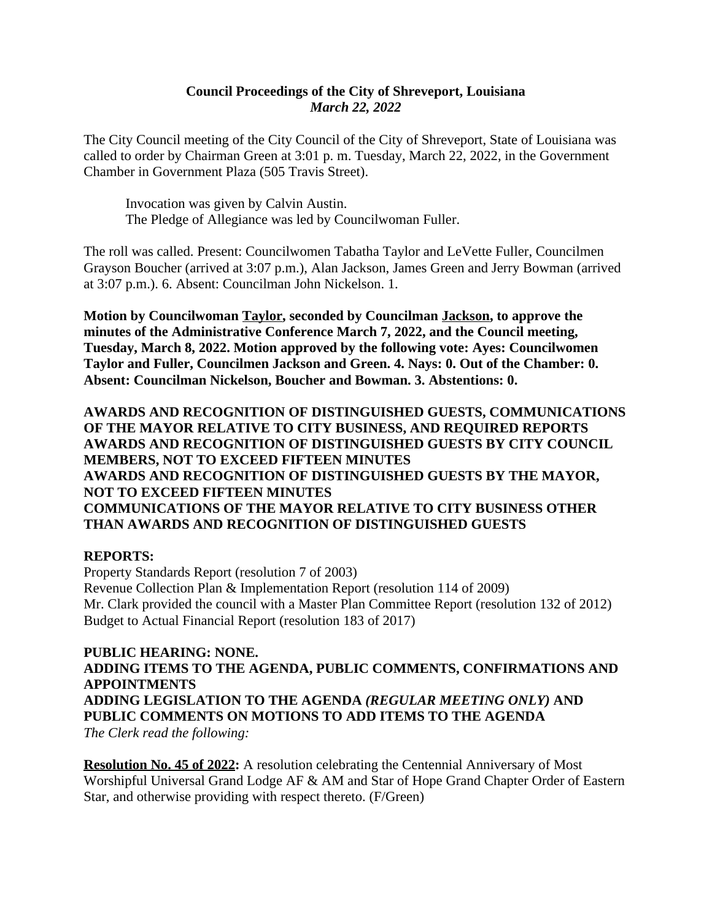### **Council Proceedings of the City of Shreveport, Louisiana** *March 22, 2022*

The City Council meeting of the City Council of the City of Shreveport, State of Louisiana was called to order by Chairman Green at 3:01 p. m. Tuesday, March 22, 2022, in the Government Chamber in Government Plaza (505 Travis Street).

Invocation was given by Calvin Austin. The Pledge of Allegiance was led by Councilwoman Fuller.

The roll was called. Present: Councilwomen Tabatha Taylor and LeVette Fuller, Councilmen Grayson Boucher (arrived at 3:07 p.m.), Alan Jackson, James Green and Jerry Bowman (arrived at 3:07 p.m.). 6. Absent: Councilman John Nickelson. 1.

**Motion by Councilwoman Taylor, seconded by Councilman Jackson, to approve the minutes of the Administrative Conference March 7, 2022, and the Council meeting, Tuesday, March 8, 2022. Motion approved by the following vote: Ayes: Councilwomen Taylor and Fuller, Councilmen Jackson and Green. 4. Nays: 0. Out of the Chamber: 0. Absent: Councilman Nickelson, Boucher and Bowman. 3. Abstentions: 0.**

**AWARDS AND RECOGNITION OF DISTINGUISHED GUESTS, COMMUNICATIONS OF THE MAYOR RELATIVE TO CITY BUSINESS, AND REQUIRED REPORTS AWARDS AND RECOGNITION OF DISTINGUISHED GUESTS BY CITY COUNCIL MEMBERS, NOT TO EXCEED FIFTEEN MINUTES AWARDS AND RECOGNITION OF DISTINGUISHED GUESTS BY THE MAYOR, NOT TO EXCEED FIFTEEN MINUTES COMMUNICATIONS OF THE MAYOR RELATIVE TO CITY BUSINESS OTHER THAN AWARDS AND RECOGNITION OF DISTINGUISHED GUESTS**

### **REPORTS:**

Property Standards Report (resolution 7 of 2003) Revenue Collection Plan & Implementation Report (resolution 114 of 2009) Mr. Clark provided the council with a Master Plan Committee Report (resolution 132 of 2012) Budget to Actual Financial Report (resolution 183 of 2017)

**PUBLIC HEARING: NONE. ADDING ITEMS TO THE AGENDA, PUBLIC COMMENTS, CONFIRMATIONS AND APPOINTMENTS ADDING LEGISLATION TO THE AGENDA** *(REGULAR MEETING ONLY)* **AND PUBLIC COMMENTS ON MOTIONS TO ADD ITEMS TO THE AGENDA** *The Clerk read the following:*

**Resolution No. 45 of 2022:** A resolution celebrating the Centennial Anniversary of Most Worshipful Universal Grand Lodge AF & AM and Star of Hope Grand Chapter Order of Eastern Star, and otherwise providing with respect thereto. (F/Green)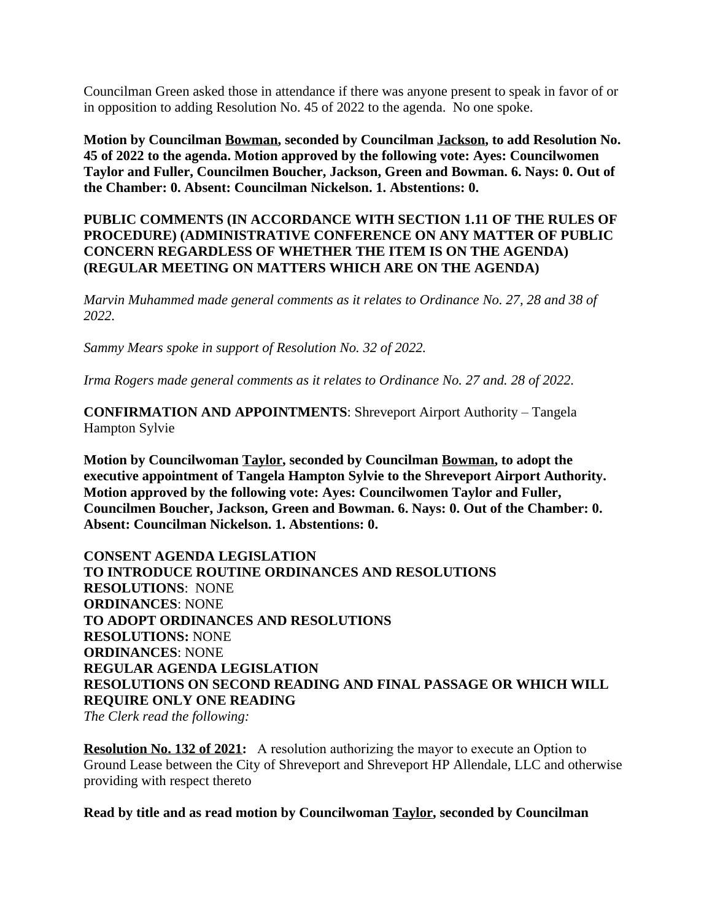Councilman Green asked those in attendance if there was anyone present to speak in favor of or in opposition to adding Resolution No. 45 of 2022 to the agenda. No one spoke.

**Motion by Councilman Bowman, seconded by Councilman Jackson, to add Resolution No. 45 of 2022 to the agenda. Motion approved by the following vote: Ayes: Councilwomen Taylor and Fuller, Councilmen Boucher, Jackson, Green and Bowman. 6. Nays: 0. Out of the Chamber: 0. Absent: Councilman Nickelson. 1. Abstentions: 0.**

### **PUBLIC COMMENTS (IN ACCORDANCE WITH SECTION 1.11 OF THE RULES OF PROCEDURE) (ADMINISTRATIVE CONFERENCE ON ANY MATTER OF PUBLIC CONCERN REGARDLESS OF WHETHER THE ITEM IS ON THE AGENDA) (REGULAR MEETING ON MATTERS WHICH ARE ON THE AGENDA)**

*Marvin Muhammed made general comments as it relates to Ordinance No. 27, 28 and 38 of 2022.*

*Sammy Mears spoke in support of Resolution No. 32 of 2022.*

*Irma Rogers made general comments as it relates to Ordinance No. 27 and. 28 of 2022.*

**CONFIRMATION AND APPOINTMENTS**: Shreveport Airport Authority – Tangela Hampton Sylvie

**Motion by Councilwoman Taylor, seconded by Councilman Bowman, to adopt the executive appointment of Tangela Hampton Sylvie to the Shreveport Airport Authority. Motion approved by the following vote: Ayes: Councilwomen Taylor and Fuller, Councilmen Boucher, Jackson, Green and Bowman. 6. Nays: 0. Out of the Chamber: 0. Absent: Councilman Nickelson. 1. Abstentions: 0.**

**CONSENT AGENDA LEGISLATION TO INTRODUCE ROUTINE ORDINANCES AND RESOLUTIONS RESOLUTIONS**: NONE **ORDINANCES**: NONE **TO ADOPT ORDINANCES AND RESOLUTIONS RESOLUTIONS:** NONE **ORDINANCES**: NONE **REGULAR AGENDA LEGISLATION RESOLUTIONS ON SECOND READING AND FINAL PASSAGE OR WHICH WILL REQUIRE ONLY ONE READING**

*The Clerk read the following:* 

**Resolution No. 132 of 2021:** A resolution authorizing the mayor to execute an Option to Ground Lease between the City of Shreveport and Shreveport HP Allendale, LLC and otherwise providing with respect thereto

**Read by title and as read motion by Councilwoman Taylor, seconded by Councilman**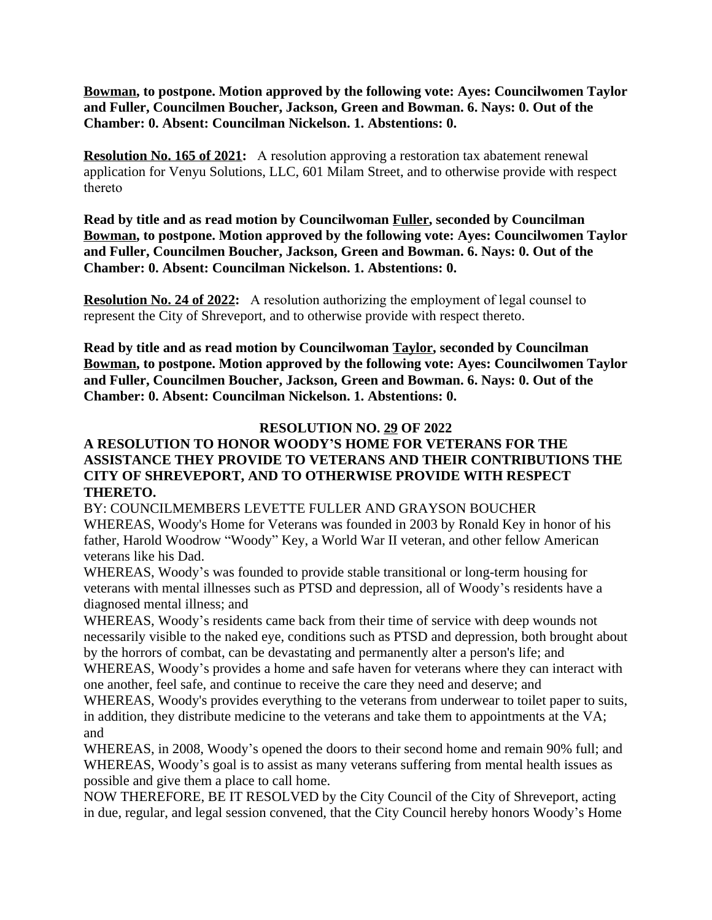**Bowman, to postpone. Motion approved by the following vote: Ayes: Councilwomen Taylor and Fuller, Councilmen Boucher, Jackson, Green and Bowman. 6. Nays: 0. Out of the Chamber: 0. Absent: Councilman Nickelson. 1. Abstentions: 0.**

**Resolution No. 165 of 2021:** A resolution approving a restoration tax abatement renewal application for Venyu Solutions, LLC, 601 Milam Street, and to otherwise provide with respect thereto

**Read by title and as read motion by Councilwoman Fuller, seconded by Councilman Bowman, to postpone. Motion approved by the following vote: Ayes: Councilwomen Taylor and Fuller, Councilmen Boucher, Jackson, Green and Bowman. 6. Nays: 0. Out of the Chamber: 0. Absent: Councilman Nickelson. 1. Abstentions: 0.**

**Resolution No. 24 of 2022:** A resolution authorizing the employment of legal counsel to represent the City of Shreveport, and to otherwise provide with respect thereto.

**Read by title and as read motion by Councilwoman Taylor, seconded by Councilman Bowman, to postpone. Motion approved by the following vote: Ayes: Councilwomen Taylor and Fuller, Councilmen Boucher, Jackson, Green and Bowman. 6. Nays: 0. Out of the Chamber: 0. Absent: Councilman Nickelson. 1. Abstentions: 0.**

### **RESOLUTION NO. 29 OF 2022**

### **A RESOLUTION TO HONOR WOODY'S HOME FOR VETERANS FOR THE ASSISTANCE THEY PROVIDE TO VETERANS AND THEIR CONTRIBUTIONS THE CITY OF SHREVEPORT, AND TO OTHERWISE PROVIDE WITH RESPECT THERETO.**

BY: COUNCILMEMBERS LEVETTE FULLER AND GRAYSON BOUCHER WHEREAS, Woody's Home for Veterans was founded in 2003 by Ronald Key in honor of his father, Harold Woodrow "Woody" Key, a World War II veteran, and other fellow American veterans like his Dad.

WHEREAS, Woody's was founded to provide stable transitional or long-term housing for veterans with mental illnesses such as PTSD and depression, all of Woody's residents have a diagnosed mental illness; and

WHEREAS, Woody's residents came back from their time of service with deep wounds not necessarily visible to the naked eye, conditions such as PTSD and depression, both brought about by the horrors of combat, can be devastating and permanently alter a person's life; and

WHEREAS, Woody's provides a home and safe haven for veterans where they can interact with one another, feel safe, and continue to receive the care they need and deserve; and

WHEREAS, Woody's provides everything to the veterans from underwear to toilet paper to suits, in addition, they distribute medicine to the veterans and take them to appointments at the VA; and

WHEREAS, in 2008, Woody's opened the doors to their second home and remain 90% full; and WHEREAS, Woody's goal is to assist as many veterans suffering from mental health issues as possible and give them a place to call home.

NOW THEREFORE, BE IT RESOLVED by the City Council of the City of Shreveport, acting in due, regular, and legal session convened, that the City Council hereby honors Woody's Home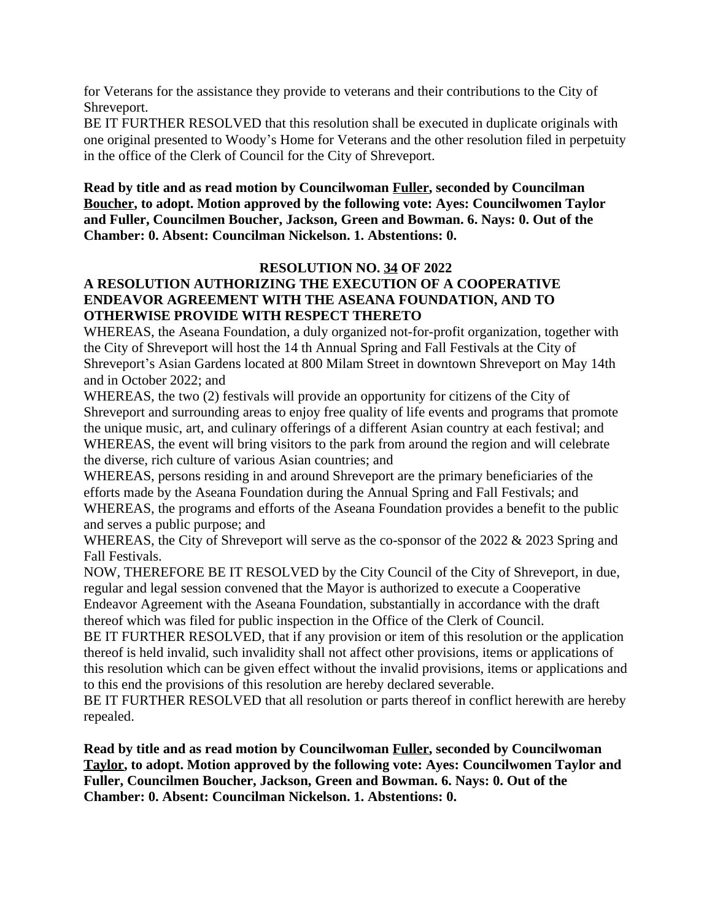for Veterans for the assistance they provide to veterans and their contributions to the City of Shreveport.

BE IT FURTHER RESOLVED that this resolution shall be executed in duplicate originals with one original presented to Woody's Home for Veterans and the other resolution filed in perpetuity in the office of the Clerk of Council for the City of Shreveport.

**Read by title and as read motion by Councilwoman Fuller, seconded by Councilman Boucher, to adopt. Motion approved by the following vote: Ayes: Councilwomen Taylor and Fuller, Councilmen Boucher, Jackson, Green and Bowman. 6. Nays: 0. Out of the Chamber: 0. Absent: Councilman Nickelson. 1. Abstentions: 0.**

### **RESOLUTION NO. 34 OF 2022 A RESOLUTION AUTHORIZING THE EXECUTION OF A COOPERATIVE ENDEAVOR AGREEMENT WITH THE ASEANA FOUNDATION, AND TO OTHERWISE PROVIDE WITH RESPECT THERETO**

WHEREAS, the Aseana Foundation, a duly organized not-for-profit organization, together with the City of Shreveport will host the 14 th Annual Spring and Fall Festivals at the City of Shreveport's Asian Gardens located at 800 Milam Street in downtown Shreveport on May 14th and in October 2022; and

WHEREAS, the two (2) festivals will provide an opportunity for citizens of the City of Shreveport and surrounding areas to enjoy free quality of life events and programs that promote the unique music, art, and culinary offerings of a different Asian country at each festival; and WHEREAS, the event will bring visitors to the park from around the region and will celebrate the diverse, rich culture of various Asian countries; and

WHEREAS, persons residing in and around Shreveport are the primary beneficiaries of the efforts made by the Aseana Foundation during the Annual Spring and Fall Festivals; and WHEREAS, the programs and efforts of the Aseana Foundation provides a benefit to the public and serves a public purpose; and

WHEREAS, the City of Shreveport will serve as the co-sponsor of the 2022 & 2023 Spring and Fall Festivals.

NOW, THEREFORE BE IT RESOLVED by the City Council of the City of Shreveport, in due, regular and legal session convened that the Mayor is authorized to execute a Cooperative Endeavor Agreement with the Aseana Foundation, substantially in accordance with the draft thereof which was filed for public inspection in the Office of the Clerk of Council.

BE IT FURTHER RESOLVED, that if any provision or item of this resolution or the application thereof is held invalid, such invalidity shall not affect other provisions, items or applications of this resolution which can be given effect without the invalid provisions, items or applications and to this end the provisions of this resolution are hereby declared severable.

BE IT FURTHER RESOLVED that all resolution or parts thereof in conflict herewith are hereby repealed.

**Read by title and as read motion by Councilwoman Fuller, seconded by Councilwoman Taylor, to adopt. Motion approved by the following vote: Ayes: Councilwomen Taylor and Fuller, Councilmen Boucher, Jackson, Green and Bowman. 6. Nays: 0. Out of the Chamber: 0. Absent: Councilman Nickelson. 1. Abstentions: 0.**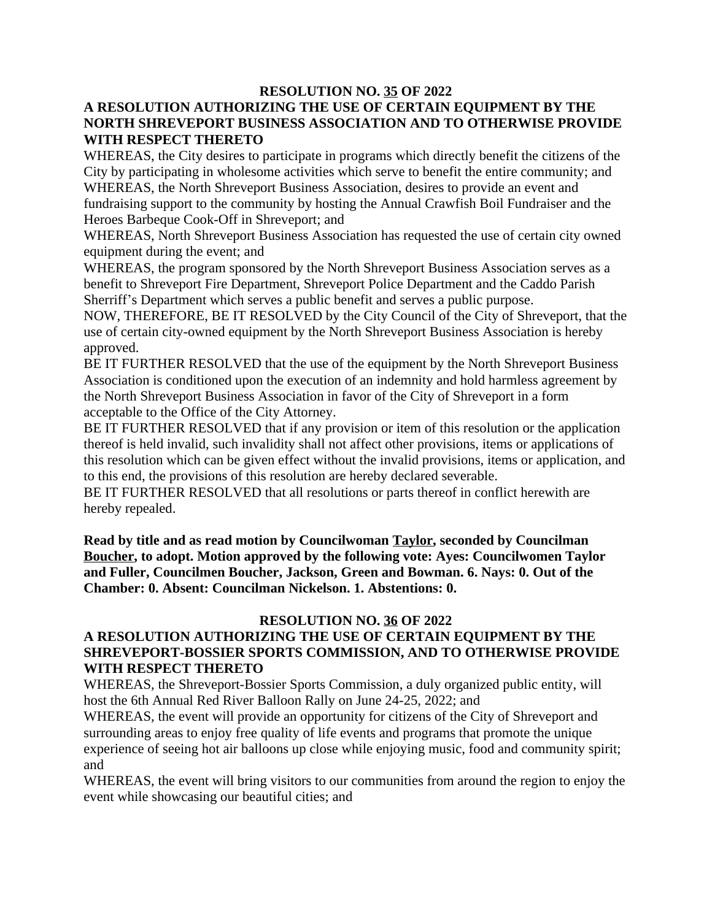### **RESOLUTION NO. 35 OF 2022**

### **A RESOLUTION AUTHORIZING THE USE OF CERTAIN EQUIPMENT BY THE NORTH SHREVEPORT BUSINESS ASSOCIATION AND TO OTHERWISE PROVIDE WITH RESPECT THERETO**

WHEREAS, the City desires to participate in programs which directly benefit the citizens of the City by participating in wholesome activities which serve to benefit the entire community; and WHEREAS, the North Shreveport Business Association, desires to provide an event and fundraising support to the community by hosting the Annual Crawfish Boil Fundraiser and the Heroes Barbeque Cook-Off in Shreveport; and

WHEREAS, North Shreveport Business Association has requested the use of certain city owned equipment during the event; and

WHEREAS, the program sponsored by the North Shreveport Business Association serves as a benefit to Shreveport Fire Department, Shreveport Police Department and the Caddo Parish Sherriff's Department which serves a public benefit and serves a public purpose.

NOW, THEREFORE, BE IT RESOLVED by the City Council of the City of Shreveport, that the use of certain city-owned equipment by the North Shreveport Business Association is hereby approved.

BE IT FURTHER RESOLVED that the use of the equipment by the North Shreveport Business Association is conditioned upon the execution of an indemnity and hold harmless agreement by the North Shreveport Business Association in favor of the City of Shreveport in a form acceptable to the Office of the City Attorney.

BE IT FURTHER RESOLVED that if any provision or item of this resolution or the application thereof is held invalid, such invalidity shall not affect other provisions, items or applications of this resolution which can be given effect without the invalid provisions, items or application, and to this end, the provisions of this resolution are hereby declared severable.

BE IT FURTHER RESOLVED that all resolutions or parts thereof in conflict herewith are hereby repealed.

**Read by title and as read motion by Councilwoman Taylor, seconded by Councilman Boucher, to adopt. Motion approved by the following vote: Ayes: Councilwomen Taylor and Fuller, Councilmen Boucher, Jackson, Green and Bowman. 6. Nays: 0. Out of the Chamber: 0. Absent: Councilman Nickelson. 1. Abstentions: 0.**

### **RESOLUTION NO. 36 OF 2022**

### **A RESOLUTION AUTHORIZING THE USE OF CERTAIN EQUIPMENT BY THE SHREVEPORT-BOSSIER SPORTS COMMISSION, AND TO OTHERWISE PROVIDE WITH RESPECT THERETO**

WHEREAS, the Shreveport-Bossier Sports Commission, a duly organized public entity, will host the 6th Annual Red River Balloon Rally on June 24-25, 2022; and

WHEREAS, the event will provide an opportunity for citizens of the City of Shreveport and surrounding areas to enjoy free quality of life events and programs that promote the unique experience of seeing hot air balloons up close while enjoying music, food and community spirit; and

WHEREAS, the event will bring visitors to our communities from around the region to enjoy the event while showcasing our beautiful cities; and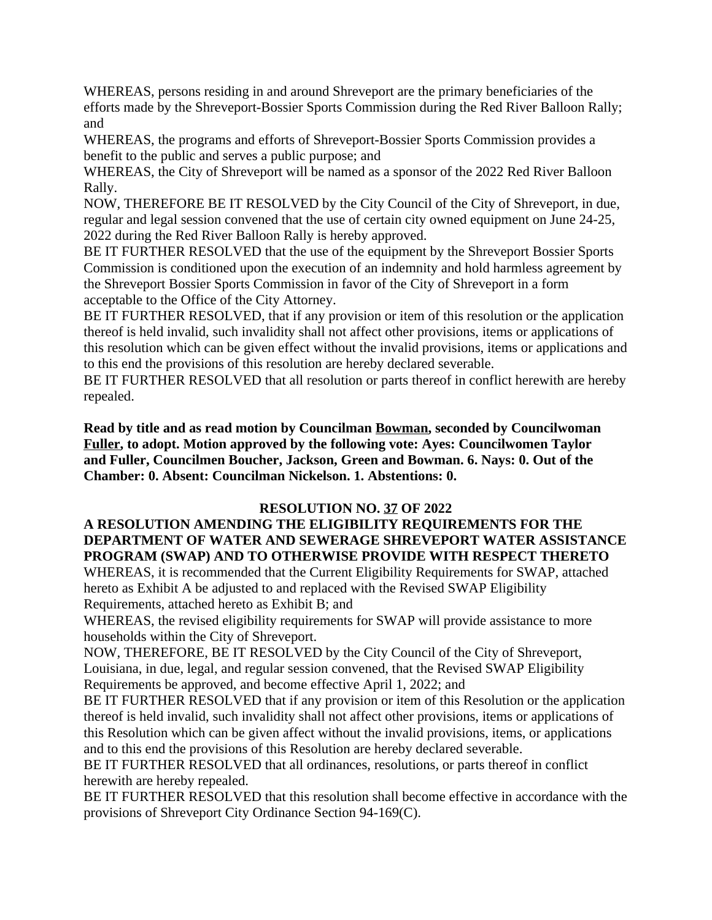WHEREAS, persons residing in and around Shreveport are the primary beneficiaries of the efforts made by the Shreveport-Bossier Sports Commission during the Red River Balloon Rally; and

WHEREAS, the programs and efforts of Shreveport-Bossier Sports Commission provides a benefit to the public and serves a public purpose; and

WHEREAS, the City of Shreveport will be named as a sponsor of the 2022 Red River Balloon Rally.

NOW, THEREFORE BE IT RESOLVED by the City Council of the City of Shreveport, in due, regular and legal session convened that the use of certain city owned equipment on June 24-25, 2022 during the Red River Balloon Rally is hereby approved.

BE IT FURTHER RESOLVED that the use of the equipment by the Shreveport Bossier Sports Commission is conditioned upon the execution of an indemnity and hold harmless agreement by the Shreveport Bossier Sports Commission in favor of the City of Shreveport in a form acceptable to the Office of the City Attorney.

BE IT FURTHER RESOLVED, that if any provision or item of this resolution or the application thereof is held invalid, such invalidity shall not affect other provisions, items or applications of this resolution which can be given effect without the invalid provisions, items or applications and to this end the provisions of this resolution are hereby declared severable.

BE IT FURTHER RESOLVED that all resolution or parts thereof in conflict herewith are hereby repealed.

**Read by title and as read motion by Councilman Bowman, seconded by Councilwoman Fuller, to adopt. Motion approved by the following vote: Ayes: Councilwomen Taylor and Fuller, Councilmen Boucher, Jackson, Green and Bowman. 6. Nays: 0. Out of the Chamber: 0. Absent: Councilman Nickelson. 1. Abstentions: 0.**

### **RESOLUTION NO. 37 OF 2022**

### **A RESOLUTION AMENDING THE ELIGIBILITY REQUIREMENTS FOR THE DEPARTMENT OF WATER AND SEWERAGE SHREVEPORT WATER ASSISTANCE PROGRAM (SWAP) AND TO OTHERWISE PROVIDE WITH RESPECT THERETO**

WHEREAS, it is recommended that the Current Eligibility Requirements for SWAP, attached hereto as Exhibit A be adjusted to and replaced with the Revised SWAP Eligibility Requirements, attached hereto as Exhibit B; and

WHEREAS, the revised eligibility requirements for SWAP will provide assistance to more households within the City of Shreveport.

NOW, THEREFORE, BE IT RESOLVED by the City Council of the City of Shreveport, Louisiana, in due, legal, and regular session convened, that the Revised SWAP Eligibility Requirements be approved, and become effective April 1, 2022; and

BE IT FURTHER RESOLVED that if any provision or item of this Resolution or the application thereof is held invalid, such invalidity shall not affect other provisions, items or applications of this Resolution which can be given affect without the invalid provisions, items, or applications and to this end the provisions of this Resolution are hereby declared severable.

BE IT FURTHER RESOLVED that all ordinances, resolutions, or parts thereof in conflict herewith are hereby repealed.

BE IT FURTHER RESOLVED that this resolution shall become effective in accordance with the provisions of Shreveport City Ordinance Section 94-169(C).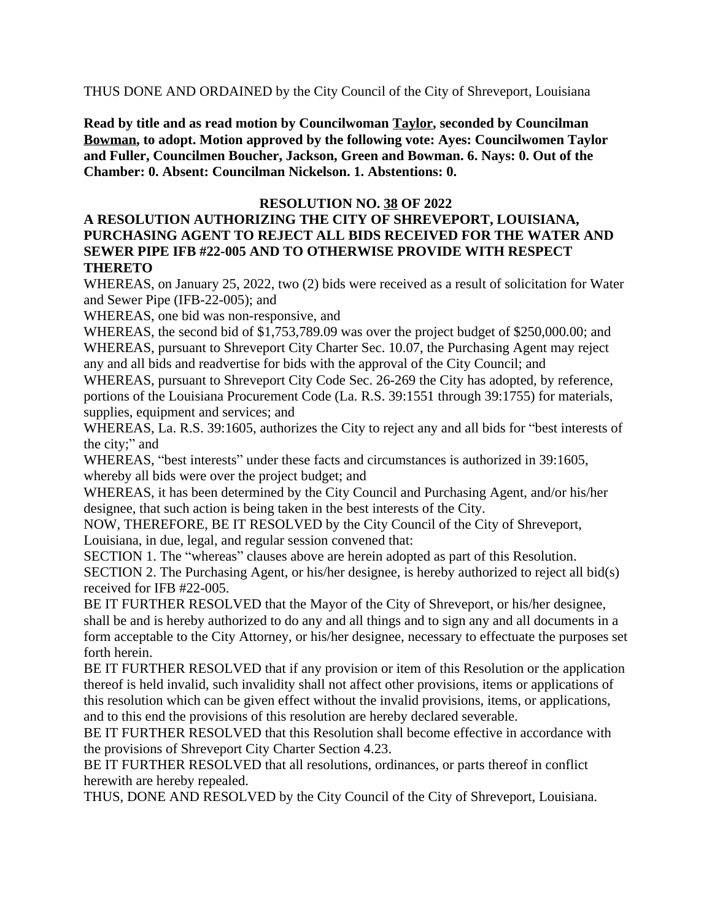THUS DONE AND ORDAINED by the City Council of the City of Shreveport, Louisiana

**Read by title and as read motion by Councilwoman Taylor, seconded by Councilman Bowman, to adopt. Motion approved by the following vote: Ayes: Councilwomen Taylor and Fuller, Councilmen Boucher, Jackson, Green and Bowman. 6. Nays: 0. Out of the Chamber: 0. Absent: Councilman Nickelson. 1. Abstentions: 0.**

#### **RESOLUTION NO. 38 OF 2022**

### **A RESOLUTION AUTHORIZING THE CITY OF SHREVEPORT, LOUISIANA, PURCHASING AGENT TO REJECT ALL BIDS RECEIVED FOR THE WATER AND SEWER PIPE IFB #22-005 AND TO OTHERWISE PROVIDE WITH RESPECT THERETO**

WHEREAS, on January 25, 2022, two (2) bids were received as a result of solicitation for Water and Sewer Pipe (IFB-22-005); and

WHEREAS, one bid was non-responsive, and

WHEREAS, the second bid of \$1,753,789.09 was over the project budget of \$250,000.00; and WHEREAS, pursuant to Shreveport City Charter Sec. 10.07, the Purchasing Agent may reject any and all bids and readvertise for bids with the approval of the City Council; and

WHEREAS, pursuant to Shreveport City Code Sec. 26-269 the City has adopted, by reference, portions of the Louisiana Procurement Code (La. R.S. 39:1551 through 39:1755) for materials, supplies, equipment and services; and

WHEREAS, La. R.S. 39:1605, authorizes the City to reject any and all bids for "best interests of the city;" and

WHEREAS, "best interests" under these facts and circumstances is authorized in 39:1605, whereby all bids were over the project budget; and

WHEREAS, it has been determined by the City Council and Purchasing Agent, and/or his/her designee, that such action is being taken in the best interests of the City.

NOW, THEREFORE, BE IT RESOLVED by the City Council of the City of Shreveport, Louisiana, in due, legal, and regular session convened that:

SECTION 1. The "whereas" clauses above are herein adopted as part of this Resolution. SECTION 2. The Purchasing Agent, or his/her designee, is hereby authorized to reject all bid(s) received for IFB #22-005.

BE IT FURTHER RESOLVED that the Mayor of the City of Shreveport, or his/her designee, shall be and is hereby authorized to do any and all things and to sign any and all documents in a form acceptable to the City Attorney, or his/her designee, necessary to effectuate the purposes set forth herein.

BE IT FURTHER RESOLVED that if any provision or item of this Resolution or the application thereof is held invalid, such invalidity shall not affect other provisions, items or applications of this resolution which can be given effect without the invalid provisions, items, or applications, and to this end the provisions of this resolution are hereby declared severable.

BE IT FURTHER RESOLVED that this Resolution shall become effective in accordance with the provisions of Shreveport City Charter Section 4.23.

BE IT FURTHER RESOLVED that all resolutions, ordinances, or parts thereof in conflict herewith are hereby repealed.

THUS, DONE AND RESOLVED by the City Council of the City of Shreveport, Louisiana.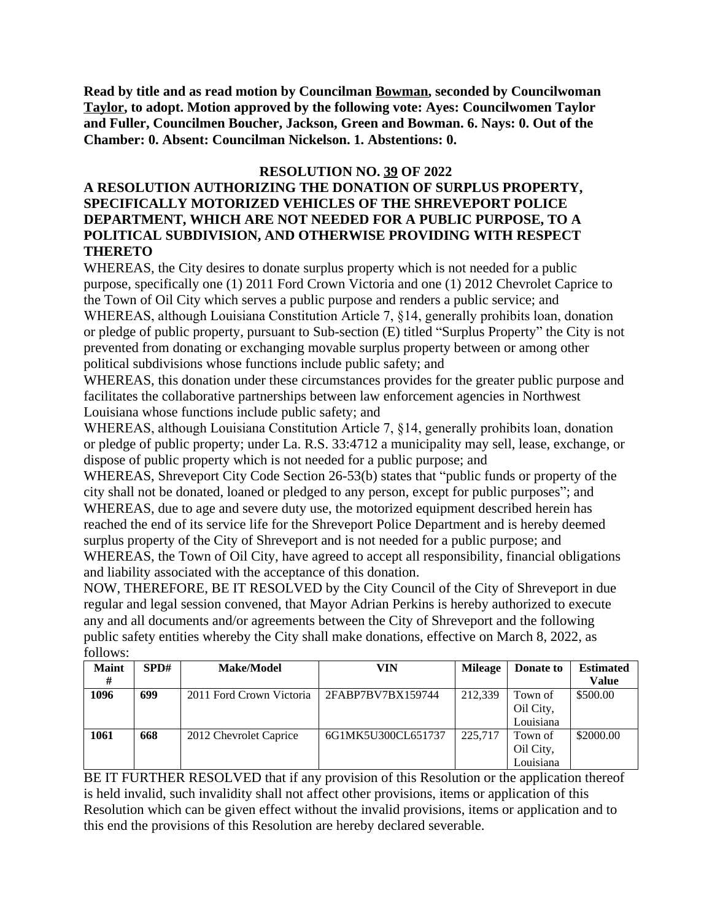**Read by title and as read motion by Councilman Bowman, seconded by Councilwoman Taylor, to adopt. Motion approved by the following vote: Ayes: Councilwomen Taylor and Fuller, Councilmen Boucher, Jackson, Green and Bowman. 6. Nays: 0. Out of the Chamber: 0. Absent: Councilman Nickelson. 1. Abstentions: 0.**

### **RESOLUTION NO. 39 OF 2022**

### **A RESOLUTION AUTHORIZING THE DONATION OF SURPLUS PROPERTY, SPECIFICALLY MOTORIZED VEHICLES OF THE SHREVEPORT POLICE DEPARTMENT, WHICH ARE NOT NEEDED FOR A PUBLIC PURPOSE, TO A POLITICAL SUBDIVISION, AND OTHERWISE PROVIDING WITH RESPECT THERETO**

WHEREAS, the City desires to donate surplus property which is not needed for a public purpose, specifically one (1) 2011 Ford Crown Victoria and one (1) 2012 Chevrolet Caprice to the Town of Oil City which serves a public purpose and renders a public service; and WHEREAS, although Louisiana Constitution Article 7, §14, generally prohibits loan, donation or pledge of public property, pursuant to Sub-section (E) titled "Surplus Property" the City is not prevented from donating or exchanging movable surplus property between or among other political subdivisions whose functions include public safety; and

WHEREAS, this donation under these circumstances provides for the greater public purpose and facilitates the collaborative partnerships between law enforcement agencies in Northwest Louisiana whose functions include public safety; and

WHEREAS, although Louisiana Constitution Article 7, §14, generally prohibits loan, donation or pledge of public property; under La. R.S. 33:4712 a municipality may sell, lease, exchange, or dispose of public property which is not needed for a public purpose; and

WHEREAS, Shreveport City Code Section 26-53(b) states that "public funds or property of the city shall not be donated, loaned or pledged to any person, except for public purposes"; and WHEREAS, due to age and severe duty use, the motorized equipment described herein has reached the end of its service life for the Shreveport Police Department and is hereby deemed surplus property of the City of Shreveport and is not needed for a public purpose; and WHEREAS, the Town of Oil City, have agreed to accept all responsibility, financial obligations and liability associated with the acceptance of this donation.

NOW, THEREFORE, BE IT RESOLVED by the City Council of the City of Shreveport in due regular and legal session convened, that Mayor Adrian Perkins is hereby authorized to execute any and all documents and/or agreements between the City of Shreveport and the following public safety entities whereby the City shall make donations, effective on March 8, 2022, as follows:

| <b>Maint</b> | SPD# | <b>Make/Model</b>        | VIN                | <b>Mileage</b> | Donate to | <b>Estimated</b> |
|--------------|------|--------------------------|--------------------|----------------|-----------|------------------|
| #            |      |                          |                    |                |           | <b>Value</b>     |
| 1096         | 699  | 2011 Ford Crown Victoria | 2FABP7BV7BX159744  | 212.339        | Town of   | \$500.00         |
|              |      |                          |                    |                | Oil City, |                  |
|              |      |                          |                    |                | Louisiana |                  |
| 1061         | 668  | 2012 Chevrolet Caprice   | 6G1MK5U300CL651737 | 225.717        | Town of   | \$2000.00        |
|              |      |                          |                    |                | Oil City, |                  |
|              |      |                          |                    |                | Louisiana |                  |

BE IT FURTHER RESOLVED that if any provision of this Resolution or the application thereof is held invalid, such invalidity shall not affect other provisions, items or application of this Resolution which can be given effect without the invalid provisions, items or application and to this end the provisions of this Resolution are hereby declared severable.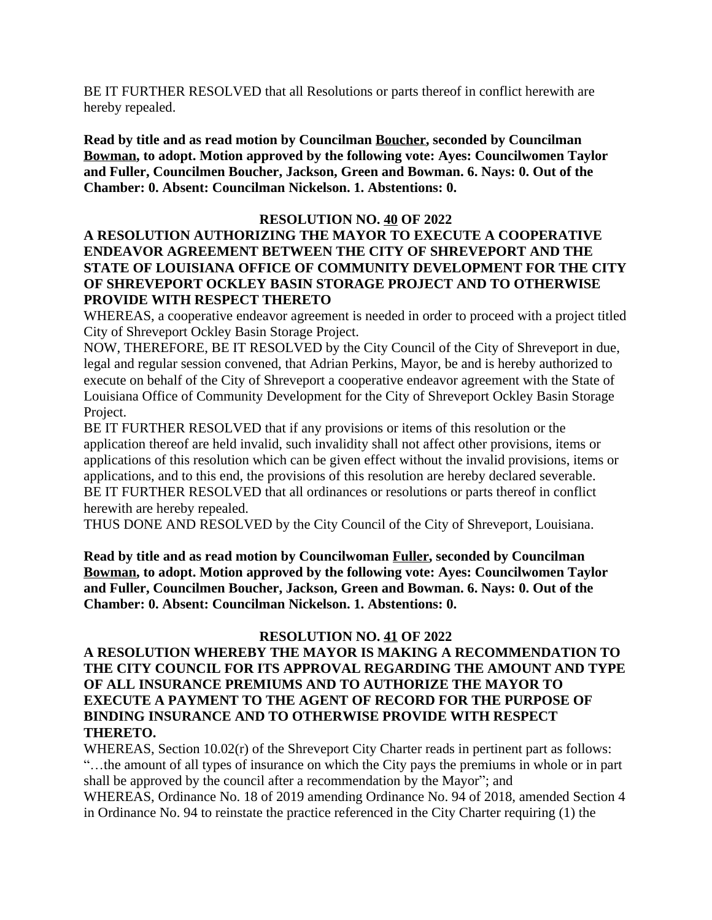BE IT FURTHER RESOLVED that all Resolutions or parts thereof in conflict herewith are hereby repealed.

**Read by title and as read motion by Councilman Boucher, seconded by Councilman Bowman, to adopt. Motion approved by the following vote: Ayes: Councilwomen Taylor and Fuller, Councilmen Boucher, Jackson, Green and Bowman. 6. Nays: 0. Out of the Chamber: 0. Absent: Councilman Nickelson. 1. Abstentions: 0.**

#### **RESOLUTION NO. 40 OF 2022**

### **A RESOLUTION AUTHORIZING THE MAYOR TO EXECUTE A COOPERATIVE ENDEAVOR AGREEMENT BETWEEN THE CITY OF SHREVEPORT AND THE STATE OF LOUISIANA OFFICE OF COMMUNITY DEVELOPMENT FOR THE CITY OF SHREVEPORT OCKLEY BASIN STORAGE PROJECT AND TO OTHERWISE PROVIDE WITH RESPECT THERETO**

WHEREAS, a cooperative endeavor agreement is needed in order to proceed with a project titled City of Shreveport Ockley Basin Storage Project.

NOW, THEREFORE, BE IT RESOLVED by the City Council of the City of Shreveport in due, legal and regular session convened, that Adrian Perkins, Mayor, be and is hereby authorized to execute on behalf of the City of Shreveport a cooperative endeavor agreement with the State of Louisiana Office of Community Development for the City of Shreveport Ockley Basin Storage Project.

BE IT FURTHER RESOLVED that if any provisions or items of this resolution or the application thereof are held invalid, such invalidity shall not affect other provisions, items or applications of this resolution which can be given effect without the invalid provisions, items or applications, and to this end, the provisions of this resolution are hereby declared severable. BE IT FURTHER RESOLVED that all ordinances or resolutions or parts thereof in conflict herewith are hereby repealed.

THUS DONE AND RESOLVED by the City Council of the City of Shreveport, Louisiana.

**Read by title and as read motion by Councilwoman Fuller, seconded by Councilman Bowman, to adopt. Motion approved by the following vote: Ayes: Councilwomen Taylor and Fuller, Councilmen Boucher, Jackson, Green and Bowman. 6. Nays: 0. Out of the Chamber: 0. Absent: Councilman Nickelson. 1. Abstentions: 0.**

### **RESOLUTION NO. 41 OF 2022**

### **A RESOLUTION WHEREBY THE MAYOR IS MAKING A RECOMMENDATION TO THE CITY COUNCIL FOR ITS APPROVAL REGARDING THE AMOUNT AND TYPE OF ALL INSURANCE PREMIUMS AND TO AUTHORIZE THE MAYOR TO EXECUTE A PAYMENT TO THE AGENT OF RECORD FOR THE PURPOSE OF BINDING INSURANCE AND TO OTHERWISE PROVIDE WITH RESPECT THERETO.**

WHEREAS, Section 10.02(r) of the Shreveport City Charter reads in pertinent part as follows: "…the amount of all types of insurance on which the City pays the premiums in whole or in part shall be approved by the council after a recommendation by the Mayor"; and WHEREAS, Ordinance No. 18 of 2019 amending Ordinance No. 94 of 2018, amended Section 4 in Ordinance No. 94 to reinstate the practice referenced in the City Charter requiring (1) the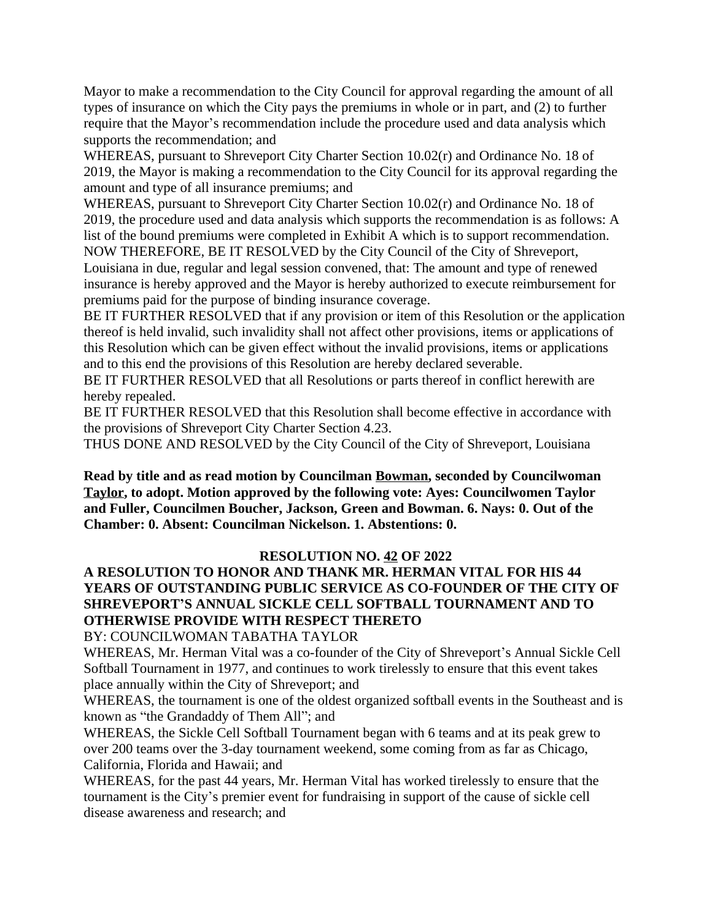Mayor to make a recommendation to the City Council for approval regarding the amount of all types of insurance on which the City pays the premiums in whole or in part, and (2) to further require that the Mayor's recommendation include the procedure used and data analysis which supports the recommendation; and

WHEREAS, pursuant to Shreveport City Charter Section 10.02(r) and Ordinance No. 18 of 2019, the Mayor is making a recommendation to the City Council for its approval regarding the amount and type of all insurance premiums; and

WHEREAS, pursuant to Shreveport City Charter Section 10.02(r) and Ordinance No. 18 of 2019, the procedure used and data analysis which supports the recommendation is as follows: A list of the bound premiums were completed in Exhibit A which is to support recommendation. NOW THEREFORE, BE IT RESOLVED by the City Council of the City of Shreveport,

Louisiana in due, regular and legal session convened, that: The amount and type of renewed insurance is hereby approved and the Mayor is hereby authorized to execute reimbursement for premiums paid for the purpose of binding insurance coverage.

BE IT FURTHER RESOLVED that if any provision or item of this Resolution or the application thereof is held invalid, such invalidity shall not affect other provisions, items or applications of this Resolution which can be given effect without the invalid provisions, items or applications and to this end the provisions of this Resolution are hereby declared severable.

BE IT FURTHER RESOLVED that all Resolutions or parts thereof in conflict herewith are hereby repealed.

BE IT FURTHER RESOLVED that this Resolution shall become effective in accordance with the provisions of Shreveport City Charter Section 4.23.

THUS DONE AND RESOLVED by the City Council of the City of Shreveport, Louisiana

**Read by title and as read motion by Councilman Bowman, seconded by Councilwoman Taylor, to adopt. Motion approved by the following vote: Ayes: Councilwomen Taylor and Fuller, Councilmen Boucher, Jackson, Green and Bowman. 6. Nays: 0. Out of the Chamber: 0. Absent: Councilman Nickelson. 1. Abstentions: 0.**

### **RESOLUTION NO. 42 OF 2022**

### **A RESOLUTION TO HONOR AND THANK MR. HERMAN VITAL FOR HIS 44 YEARS OF OUTSTANDING PUBLIC SERVICE AS CO-FOUNDER OF THE CITY OF SHREVEPORT'S ANNUAL SICKLE CELL SOFTBALL TOURNAMENT AND TO OTHERWISE PROVIDE WITH RESPECT THERETO**

BY: COUNCILWOMAN TABATHA TAYLOR

WHEREAS, Mr. Herman Vital was a co-founder of the City of Shreveport's Annual Sickle Cell Softball Tournament in 1977, and continues to work tirelessly to ensure that this event takes place annually within the City of Shreveport; and

WHEREAS, the tournament is one of the oldest organized softball events in the Southeast and is known as "the Grandaddy of Them All"; and

WHEREAS, the Sickle Cell Softball Tournament began with 6 teams and at its peak grew to over 200 teams over the 3-day tournament weekend, some coming from as far as Chicago, California, Florida and Hawaii; and

WHEREAS, for the past 44 years, Mr. Herman Vital has worked tirelessly to ensure that the tournament is the City's premier event for fundraising in support of the cause of sickle cell disease awareness and research; and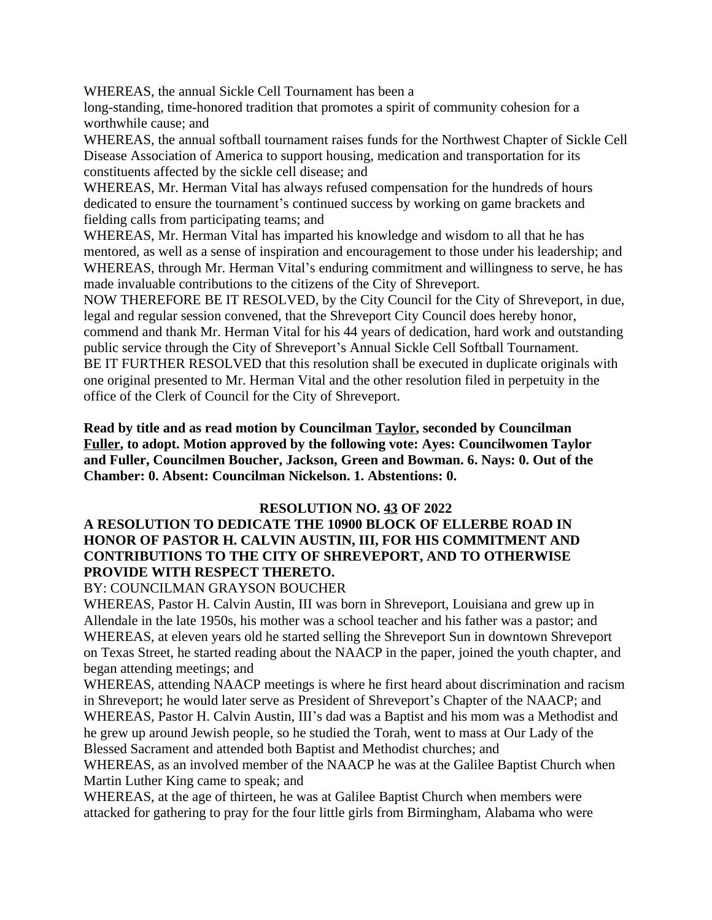WHEREAS, the annual Sickle Cell Tournament has been a

long-standing, time-honored tradition that promotes a spirit of community cohesion for a worthwhile cause; and

WHEREAS, the annual softball tournament raises funds for the Northwest Chapter of Sickle Cell Disease Association of America to support housing, medication and transportation for its constituents affected by the sickle cell disease; and

WHEREAS, Mr. Herman Vital has always refused compensation for the hundreds of hours dedicated to ensure the tournament's continued success by working on game brackets and fielding calls from participating teams; and

WHEREAS, Mr. Herman Vital has imparted his knowledge and wisdom to all that he has mentored, as well as a sense of inspiration and encouragement to those under his leadership; and WHEREAS, through Mr. Herman Vital's enduring commitment and willingness to serve, he has made invaluable contributions to the citizens of the City of Shreveport.

NOW THEREFORE BE IT RESOLVED, by the City Council for the City of Shreveport, in due, legal and regular session convened, that the Shreveport City Council does hereby honor, commend and thank Mr. Herman Vital for his 44 years of dedication, hard work and outstanding public service through the City of Shreveport's Annual Sickle Cell Softball Tournament. BE IT FURTHER RESOLVED that this resolution shall be executed in duplicate originals with one original presented to Mr. Herman Vital and the other resolution filed in perpetuity in the office of the Clerk of Council for the City of Shreveport.

**Read by title and as read motion by Councilman Taylor, seconded by Councilman Fuller, to adopt. Motion approved by the following vote: Ayes: Councilwomen Taylor and Fuller, Councilmen Boucher, Jackson, Green and Bowman. 6. Nays: 0. Out of the Chamber: 0. Absent: Councilman Nickelson. 1. Abstentions: 0.**

#### **RESOLUTION NO. 43 OF 2022**

### **A RESOLUTION TO DEDICATE THE 10900 BLOCK OF ELLERBE ROAD IN HONOR OF PASTOR H. CALVIN AUSTIN, III, FOR HIS COMMITMENT AND CONTRIBUTIONS TO THE CITY OF SHREVEPORT, AND TO OTHERWISE PROVIDE WITH RESPECT THERETO.**

#### BY: COUNCILMAN GRAYSON BOUCHER

WHEREAS, Pastor H. Calvin Austin, III was born in Shreveport, Louisiana and grew up in Allendale in the late 1950s, his mother was a school teacher and his father was a pastor; and WHEREAS, at eleven years old he started selling the Shreveport Sun in downtown Shreveport on Texas Street, he started reading about the NAACP in the paper, joined the youth chapter, and began attending meetings; and

WHEREAS, attending NAACP meetings is where he first heard about discrimination and racism in Shreveport; he would later serve as President of Shreveport's Chapter of the NAACP; and WHEREAS, Pastor H. Calvin Austin, III's dad was a Baptist and his mom was a Methodist and he grew up around Jewish people, so he studied the Torah, went to mass at Our Lady of the Blessed Sacrament and attended both Baptist and Methodist churches; and

WHEREAS, as an involved member of the NAACP he was at the Galilee Baptist Church when Martin Luther King came to speak; and

WHEREAS, at the age of thirteen, he was at Galilee Baptist Church when members were attacked for gathering to pray for the four little girls from Birmingham, Alabama who were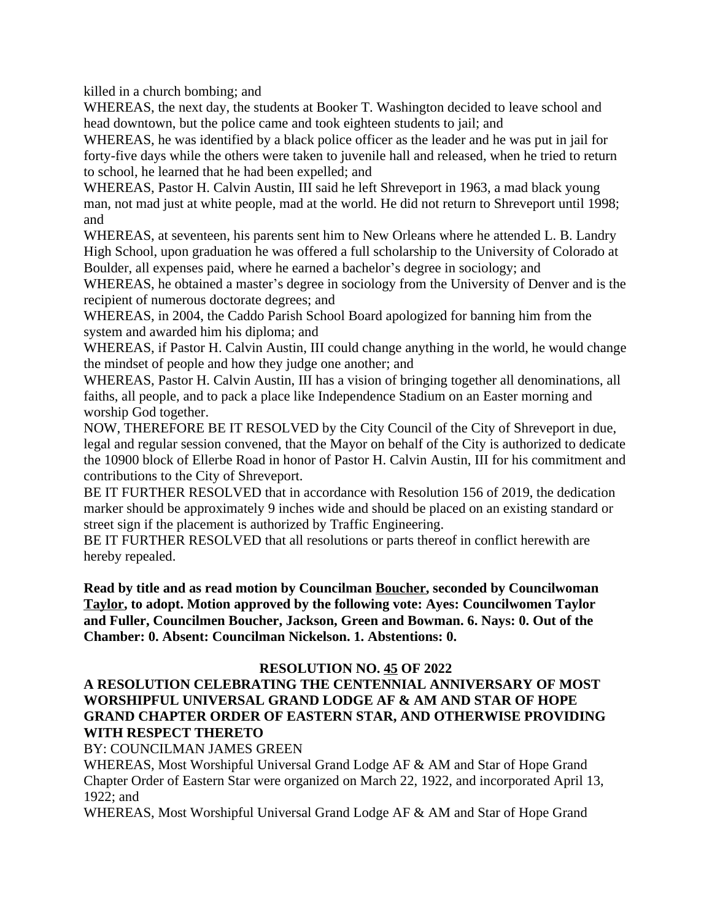killed in a church bombing; and

WHEREAS, the next day, the students at Booker T. Washington decided to leave school and head downtown, but the police came and took eighteen students to jail; and

WHEREAS, he was identified by a black police officer as the leader and he was put in jail for forty-five days while the others were taken to juvenile hall and released, when he tried to return to school, he learned that he had been expelled; and

WHEREAS, Pastor H. Calvin Austin, III said he left Shreveport in 1963, a mad black young man, not mad just at white people, mad at the world. He did not return to Shreveport until 1998; and

WHEREAS, at seventeen, his parents sent him to New Orleans where he attended L. B. Landry High School, upon graduation he was offered a full scholarship to the University of Colorado at Boulder, all expenses paid, where he earned a bachelor's degree in sociology; and

WHEREAS, he obtained a master's degree in sociology from the University of Denver and is the recipient of numerous doctorate degrees; and

WHEREAS, in 2004, the Caddo Parish School Board apologized for banning him from the system and awarded him his diploma; and

WHEREAS, if Pastor H. Calvin Austin, III could change anything in the world, he would change the mindset of people and how they judge one another; and

WHEREAS, Pastor H. Calvin Austin, III has a vision of bringing together all denominations, all faiths, all people, and to pack a place like Independence Stadium on an Easter morning and worship God together.

NOW, THEREFORE BE IT RESOLVED by the City Council of the City of Shreveport in due, legal and regular session convened, that the Mayor on behalf of the City is authorized to dedicate the 10900 block of Ellerbe Road in honor of Pastor H. Calvin Austin, III for his commitment and contributions to the City of Shreveport.

BE IT FURTHER RESOLVED that in accordance with Resolution 156 of 2019, the dedication marker should be approximately 9 inches wide and should be placed on an existing standard or street sign if the placement is authorized by Traffic Engineering.

BE IT FURTHER RESOLVED that all resolutions or parts thereof in conflict herewith are hereby repealed.

**Read by title and as read motion by Councilman Boucher, seconded by Councilwoman Taylor, to adopt. Motion approved by the following vote: Ayes: Councilwomen Taylor and Fuller, Councilmen Boucher, Jackson, Green and Bowman. 6. Nays: 0. Out of the Chamber: 0. Absent: Councilman Nickelson. 1. Abstentions: 0.**

### **RESOLUTION NO. 45 OF 2022**

### **A RESOLUTION CELEBRATING THE CENTENNIAL ANNIVERSARY OF MOST WORSHIPFUL UNIVERSAL GRAND LODGE AF & AM AND STAR OF HOPE GRAND CHAPTER ORDER OF EASTERN STAR, AND OTHERWISE PROVIDING WITH RESPECT THERETO**

BY: COUNCILMAN JAMES GREEN

WHEREAS, Most Worshipful Universal Grand Lodge AF & AM and Star of Hope Grand Chapter Order of Eastern Star were organized on March 22, 1922, and incorporated April 13, 1922; and

WHEREAS, Most Worshipful Universal Grand Lodge AF & AM and Star of Hope Grand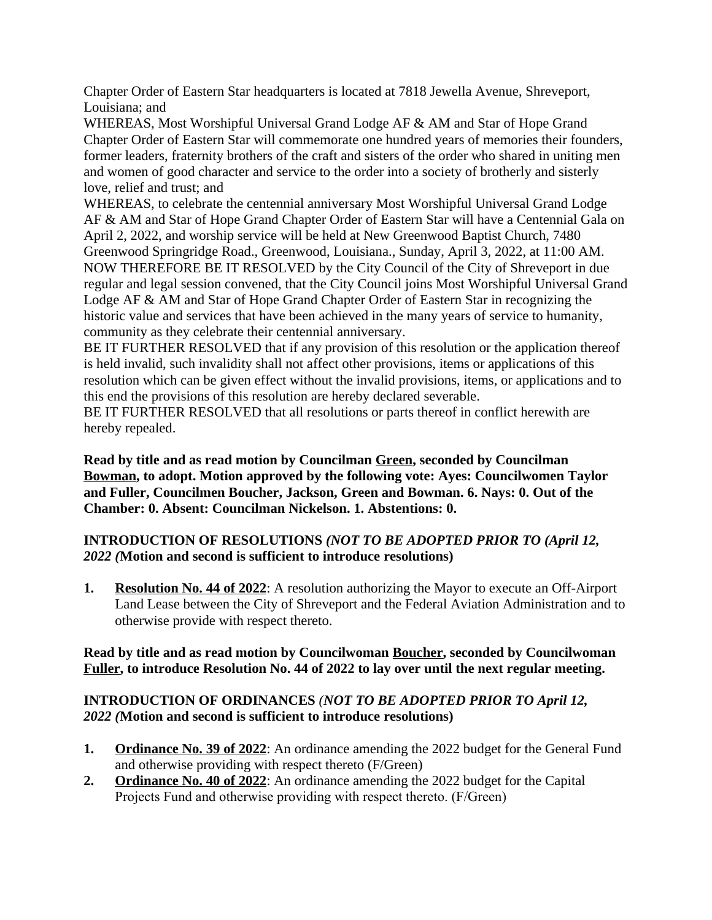Chapter Order of Eastern Star headquarters is located at 7818 Jewella Avenue, Shreveport, Louisiana; and

WHEREAS, Most Worshipful Universal Grand Lodge AF & AM and Star of Hope Grand Chapter Order of Eastern Star will commemorate one hundred years of memories their founders, former leaders, fraternity brothers of the craft and sisters of the order who shared in uniting men and women of good character and service to the order into a society of brotherly and sisterly love, relief and trust; and

WHEREAS, to celebrate the centennial anniversary Most Worshipful Universal Grand Lodge AF & AM and Star of Hope Grand Chapter Order of Eastern Star will have a Centennial Gala on April 2, 2022, and worship service will be held at New Greenwood Baptist Church, 7480 Greenwood Springridge Road., Greenwood, Louisiana., Sunday, April 3, 2022, at 11:00 AM. NOW THEREFORE BE IT RESOLVED by the City Council of the City of Shreveport in due regular and legal session convened, that the City Council joins Most Worshipful Universal Grand Lodge AF & AM and Star of Hope Grand Chapter Order of Eastern Star in recognizing the historic value and services that have been achieved in the many years of service to humanity, community as they celebrate their centennial anniversary.

BE IT FURTHER RESOLVED that if any provision of this resolution or the application thereof is held invalid, such invalidity shall not affect other provisions, items or applications of this resolution which can be given effect without the invalid provisions, items, or applications and to this end the provisions of this resolution are hereby declared severable.

BE IT FURTHER RESOLVED that all resolutions or parts thereof in conflict herewith are hereby repealed.

**Read by title and as read motion by Councilman Green, seconded by Councilman Bowman, to adopt. Motion approved by the following vote: Ayes: Councilwomen Taylor and Fuller, Councilmen Boucher, Jackson, Green and Bowman. 6. Nays: 0. Out of the Chamber: 0. Absent: Councilman Nickelson. 1. Abstentions: 0.**

## **INTRODUCTION OF RESOLUTIONS** *(NOT TO BE ADOPTED PRIOR TO (April 12, 2022 (***Motion and second is sufficient to introduce resolutions)**

**1. Resolution No. 44 of 2022**: A resolution authorizing the Mayor to execute an Off-Airport Land Lease between the City of Shreveport and the Federal Aviation Administration and to otherwise provide with respect thereto.

### **Read by title and as read motion by Councilwoman Boucher, seconded by Councilwoman Fuller, to introduce Resolution No. 44 of 2022 to lay over until the next regular meeting.**

## **INTRODUCTION OF ORDINANCES** *(NOT TO BE ADOPTED PRIOR TO April 12, 2022 (***Motion and second is sufficient to introduce resolutions)**

- **1. Ordinance No. 39 of 2022**: An ordinance amending the 2022 budget for the General Fund and otherwise providing with respect thereto (F/Green)
- **2. Ordinance No. 40 of 2022**: An ordinance amending the 2022 budget for the Capital Projects Fund and otherwise providing with respect thereto. (F/Green)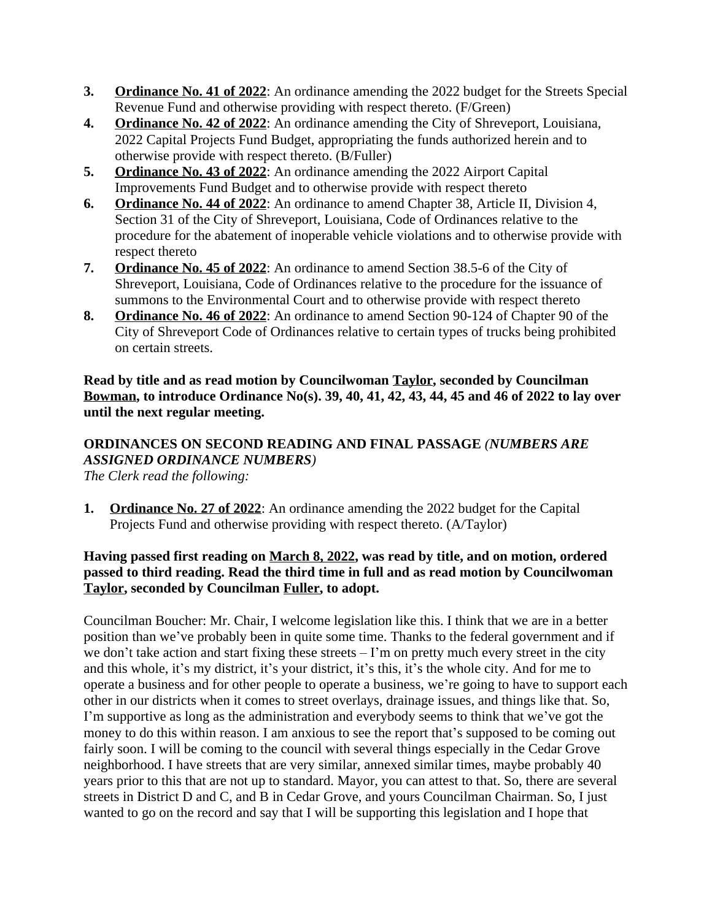- **3. Ordinance No. 41 of 2022**: An ordinance amending the 2022 budget for the Streets Special Revenue Fund and otherwise providing with respect thereto. (F/Green)
- **4. Ordinance No. 42 of 2022**: An ordinance amending the City of Shreveport, Louisiana, 2022 Capital Projects Fund Budget, appropriating the funds authorized herein and to otherwise provide with respect thereto. (B/Fuller)
- **5. Ordinance No. 43 of 2022**: An ordinance amending the 2022 Airport Capital Improvements Fund Budget and to otherwise provide with respect thereto
- **6. Ordinance No. 44 of 2022**: An ordinance to amend Chapter 38, Article II, Division 4, Section 31 of the City of Shreveport, Louisiana, Code of Ordinances relative to the procedure for the abatement of inoperable vehicle violations and to otherwise provide with respect thereto
- **7. Ordinance No. 45 of 2022**: An ordinance to amend Section 38.5-6 of the City of Shreveport, Louisiana, Code of Ordinances relative to the procedure for the issuance of summons to the Environmental Court and to otherwise provide with respect thereto
- **8. Ordinance No. 46 of 2022**: An ordinance to amend Section 90-124 of Chapter 90 of the City of Shreveport Code of Ordinances relative to certain types of trucks being prohibited on certain streets.

**Read by title and as read motion by Councilwoman Taylor, seconded by Councilman Bowman, to introduce Ordinance No(s). 39, 40, 41, 42, 43, 44, 45 and 46 of 2022 to lay over until the next regular meeting.**

# **ORDINANCES ON SECOND READING AND FINAL PASSAGE** *(NUMBERS ARE ASSIGNED ORDINANCE NUMBERS)*

*The Clerk read the following:* 

**1. Ordinance No. 27 of 2022**: An ordinance amending the 2022 budget for the Capital Projects Fund and otherwise providing with respect thereto. (A/Taylor)

### **Having passed first reading on March 8, 2022, was read by title, and on motion, ordered passed to third reading. Read the third time in full and as read motion by Councilwoman Taylor, seconded by Councilman Fuller, to adopt.**

Councilman Boucher: Mr. Chair, I welcome legislation like this. I think that we are in a better position than we've probably been in quite some time. Thanks to the federal government and if we don't take action and start fixing these streets  $-1$ 'm on pretty much every street in the city and this whole, it's my district, it's your district, it's this, it's the whole city. And for me to operate a business and for other people to operate a business, we're going to have to support each other in our districts when it comes to street overlays, drainage issues, and things like that. So, I'm supportive as long as the administration and everybody seems to think that we've got the money to do this within reason. I am anxious to see the report that's supposed to be coming out fairly soon. I will be coming to the council with several things especially in the Cedar Grove neighborhood. I have streets that are very similar, annexed similar times, maybe probably 40 years prior to this that are not up to standard. Mayor, you can attest to that. So, there are several streets in District D and C, and B in Cedar Grove, and yours Councilman Chairman. So, I just wanted to go on the record and say that I will be supporting this legislation and I hope that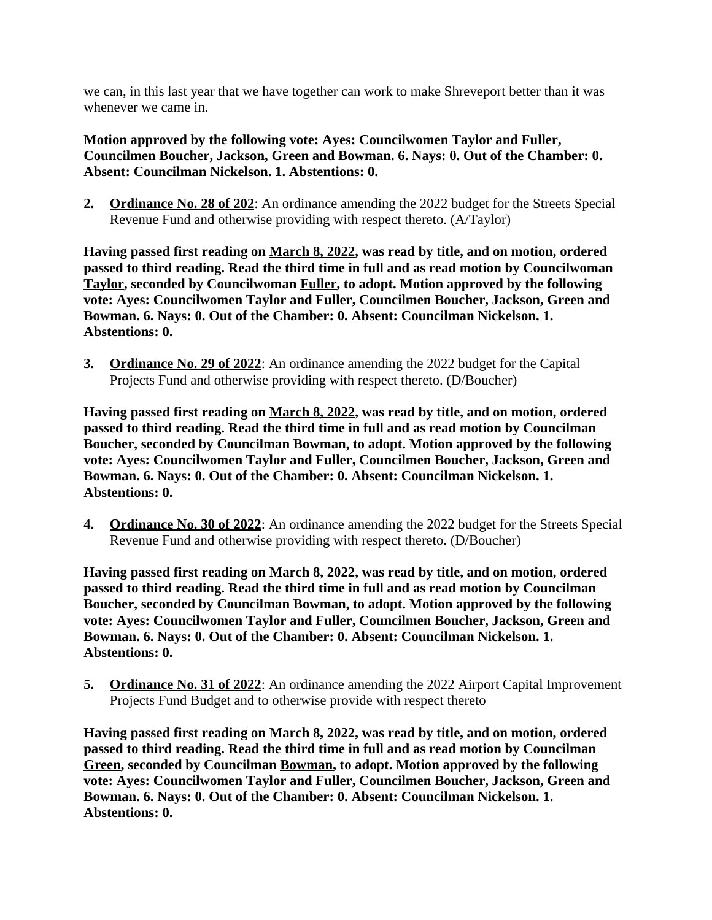we can, in this last year that we have together can work to make Shreveport better than it was whenever we came in.

**Motion approved by the following vote: Ayes: Councilwomen Taylor and Fuller, Councilmen Boucher, Jackson, Green and Bowman. 6. Nays: 0. Out of the Chamber: 0. Absent: Councilman Nickelson. 1. Abstentions: 0.**

**2. Ordinance No. 28 of 202**: An ordinance amending the 2022 budget for the Streets Special Revenue Fund and otherwise providing with respect thereto. (A/Taylor)

**Having passed first reading on March 8, 2022, was read by title, and on motion, ordered passed to third reading. Read the third time in full and as read motion by Councilwoman Taylor, seconded by Councilwoman Fuller, to adopt. Motion approved by the following vote: Ayes: Councilwomen Taylor and Fuller, Councilmen Boucher, Jackson, Green and Bowman. 6. Nays: 0. Out of the Chamber: 0. Absent: Councilman Nickelson. 1. Abstentions: 0.**

**3. Ordinance No. 29 of 2022**: An ordinance amending the 2022 budget for the Capital Projects Fund and otherwise providing with respect thereto. (D/Boucher)

**Having passed first reading on March 8, 2022, was read by title, and on motion, ordered passed to third reading. Read the third time in full and as read motion by Councilman Boucher, seconded by Councilman Bowman, to adopt. Motion approved by the following vote: Ayes: Councilwomen Taylor and Fuller, Councilmen Boucher, Jackson, Green and Bowman. 6. Nays: 0. Out of the Chamber: 0. Absent: Councilman Nickelson. 1. Abstentions: 0.**

**4. Ordinance No. 30 of 2022**: An ordinance amending the 2022 budget for the Streets Special Revenue Fund and otherwise providing with respect thereto. (D/Boucher)

**Having passed first reading on March 8, 2022, was read by title, and on motion, ordered passed to third reading. Read the third time in full and as read motion by Councilman Boucher, seconded by Councilman Bowman, to adopt. Motion approved by the following vote: Ayes: Councilwomen Taylor and Fuller, Councilmen Boucher, Jackson, Green and Bowman. 6. Nays: 0. Out of the Chamber: 0. Absent: Councilman Nickelson. 1. Abstentions: 0.**

**5. Ordinance No. 31 of 2022**: An ordinance amending the 2022 Airport Capital Improvement Projects Fund Budget and to otherwise provide with respect thereto

**Having passed first reading on March 8, 2022, was read by title, and on motion, ordered passed to third reading. Read the third time in full and as read motion by Councilman Green, seconded by Councilman Bowman, to adopt. Motion approved by the following vote: Ayes: Councilwomen Taylor and Fuller, Councilmen Boucher, Jackson, Green and Bowman. 6. Nays: 0. Out of the Chamber: 0. Absent: Councilman Nickelson. 1. Abstentions: 0.**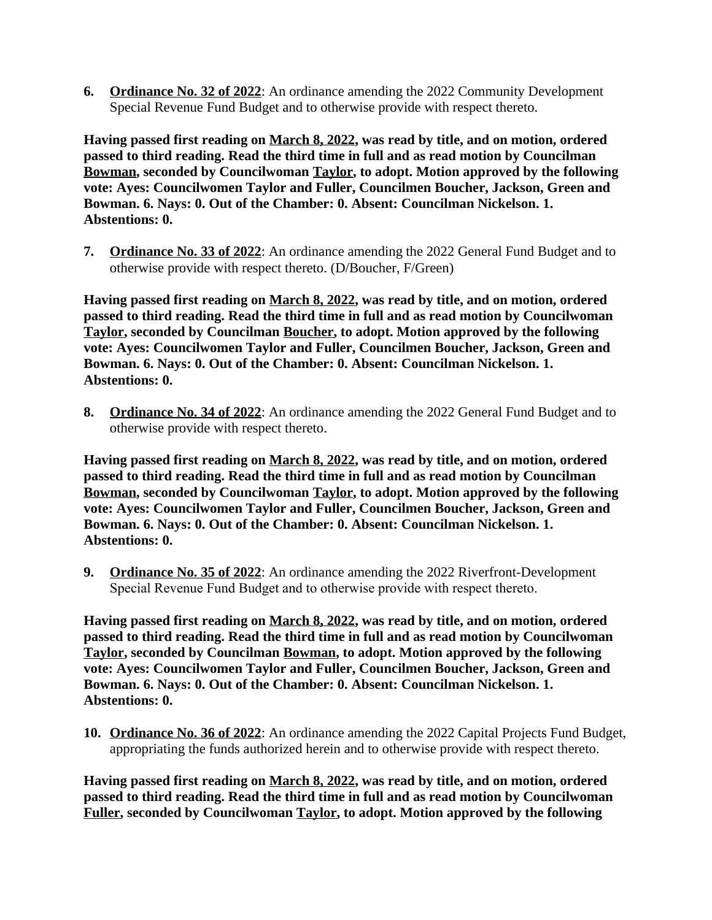**6. Ordinance No. 32 of 2022**: An ordinance amending the 2022 Community Development Special Revenue Fund Budget and to otherwise provide with respect thereto.

**Having passed first reading on March 8, 2022, was read by title, and on motion, ordered passed to third reading. Read the third time in full and as read motion by Councilman Bowman, seconded by Councilwoman Taylor, to adopt. Motion approved by the following vote: Ayes: Councilwomen Taylor and Fuller, Councilmen Boucher, Jackson, Green and Bowman. 6. Nays: 0. Out of the Chamber: 0. Absent: Councilman Nickelson. 1. Abstentions: 0.**

**7. Ordinance No. 33 of 2022**: An ordinance amending the 2022 General Fund Budget and to otherwise provide with respect thereto. (D/Boucher, F/Green)

**Having passed first reading on March 8, 2022, was read by title, and on motion, ordered passed to third reading. Read the third time in full and as read motion by Councilwoman Taylor, seconded by Councilman Boucher, to adopt. Motion approved by the following vote: Ayes: Councilwomen Taylor and Fuller, Councilmen Boucher, Jackson, Green and Bowman. 6. Nays: 0. Out of the Chamber: 0. Absent: Councilman Nickelson. 1. Abstentions: 0.**

**8. Ordinance No. 34 of 2022**: An ordinance amending the 2022 General Fund Budget and to otherwise provide with respect thereto.

**Having passed first reading on March 8, 2022, was read by title, and on motion, ordered passed to third reading. Read the third time in full and as read motion by Councilman Bowman, seconded by Councilwoman Taylor, to adopt. Motion approved by the following vote: Ayes: Councilwomen Taylor and Fuller, Councilmen Boucher, Jackson, Green and Bowman. 6. Nays: 0. Out of the Chamber: 0. Absent: Councilman Nickelson. 1. Abstentions: 0.**

**9. Ordinance No. 35 of 2022**: An ordinance amending the 2022 Riverfront-Development Special Revenue Fund Budget and to otherwise provide with respect thereto.

**Having passed first reading on March 8, 2022, was read by title, and on motion, ordered passed to third reading. Read the third time in full and as read motion by Councilwoman Taylor, seconded by Councilman Bowman, to adopt. Motion approved by the following vote: Ayes: Councilwomen Taylor and Fuller, Councilmen Boucher, Jackson, Green and Bowman. 6. Nays: 0. Out of the Chamber: 0. Absent: Councilman Nickelson. 1. Abstentions: 0.**

**10. Ordinance No. 36 of 2022**: An ordinance amending the 2022 Capital Projects Fund Budget, appropriating the funds authorized herein and to otherwise provide with respect thereto.

**Having passed first reading on March 8, 2022, was read by title, and on motion, ordered passed to third reading. Read the third time in full and as read motion by Councilwoman Fuller, seconded by Councilwoman Taylor, to adopt. Motion approved by the following**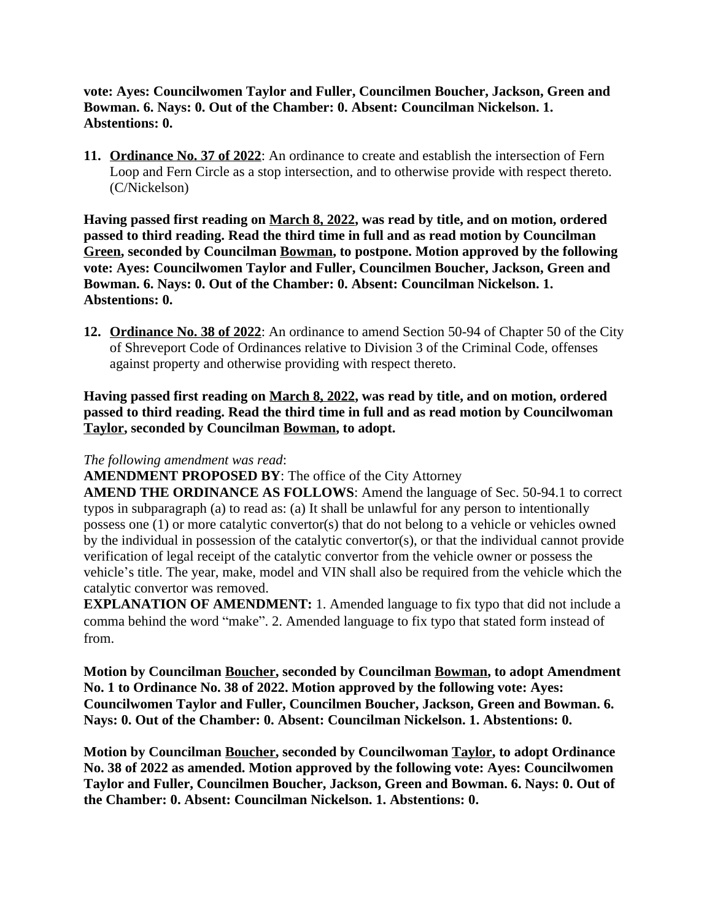**vote: Ayes: Councilwomen Taylor and Fuller, Councilmen Boucher, Jackson, Green and Bowman. 6. Nays: 0. Out of the Chamber: 0. Absent: Councilman Nickelson. 1. Abstentions: 0.**

**11. Ordinance No. 37 of 2022**: An ordinance to create and establish the intersection of Fern Loop and Fern Circle as a stop intersection, and to otherwise provide with respect thereto. (C/Nickelson)

**Having passed first reading on March 8, 2022, was read by title, and on motion, ordered passed to third reading. Read the third time in full and as read motion by Councilman Green, seconded by Councilman Bowman, to postpone. Motion approved by the following vote: Ayes: Councilwomen Taylor and Fuller, Councilmen Boucher, Jackson, Green and Bowman. 6. Nays: 0. Out of the Chamber: 0. Absent: Councilman Nickelson. 1. Abstentions: 0.**

**12. Ordinance No. 38 of 2022**: An ordinance to amend Section 50-94 of Chapter 50 of the City of Shreveport Code of Ordinances relative to Division 3 of the Criminal Code, offenses against property and otherwise providing with respect thereto.

**Having passed first reading on March 8, 2022, was read by title, and on motion, ordered passed to third reading. Read the third time in full and as read motion by Councilwoman Taylor, seconded by Councilman Bowman, to adopt.**

### *The following amendment was read*:

**AMENDMENT PROPOSED BY**: The office of the City Attorney

**AMEND THE ORDINANCE AS FOLLOWS**: Amend the language of Sec. 50-94.1 to correct typos in subparagraph (a) to read as: (a) It shall be unlawful for any person to intentionally possess one (1) or more catalytic convertor(s) that do not belong to a vehicle or vehicles owned by the individual in possession of the catalytic convertor(s), or that the individual cannot provide verification of legal receipt of the catalytic convertor from the vehicle owner or possess the vehicle's title. The year, make, model and VIN shall also be required from the vehicle which the catalytic convertor was removed.

**EXPLANATION OF AMENDMENT:** 1. Amended language to fix typo that did not include a comma behind the word "make". 2. Amended language to fix typo that stated form instead of from.

**Motion by Councilman Boucher, seconded by Councilman Bowman, to adopt Amendment No. 1 to Ordinance No. 38 of 2022. Motion approved by the following vote: Ayes: Councilwomen Taylor and Fuller, Councilmen Boucher, Jackson, Green and Bowman. 6. Nays: 0. Out of the Chamber: 0. Absent: Councilman Nickelson. 1. Abstentions: 0.**

**Motion by Councilman Boucher, seconded by Councilwoman Taylor, to adopt Ordinance No. 38 of 2022 as amended. Motion approved by the following vote: Ayes: Councilwomen Taylor and Fuller, Councilmen Boucher, Jackson, Green and Bowman. 6. Nays: 0. Out of the Chamber: 0. Absent: Councilman Nickelson. 1. Abstentions: 0.**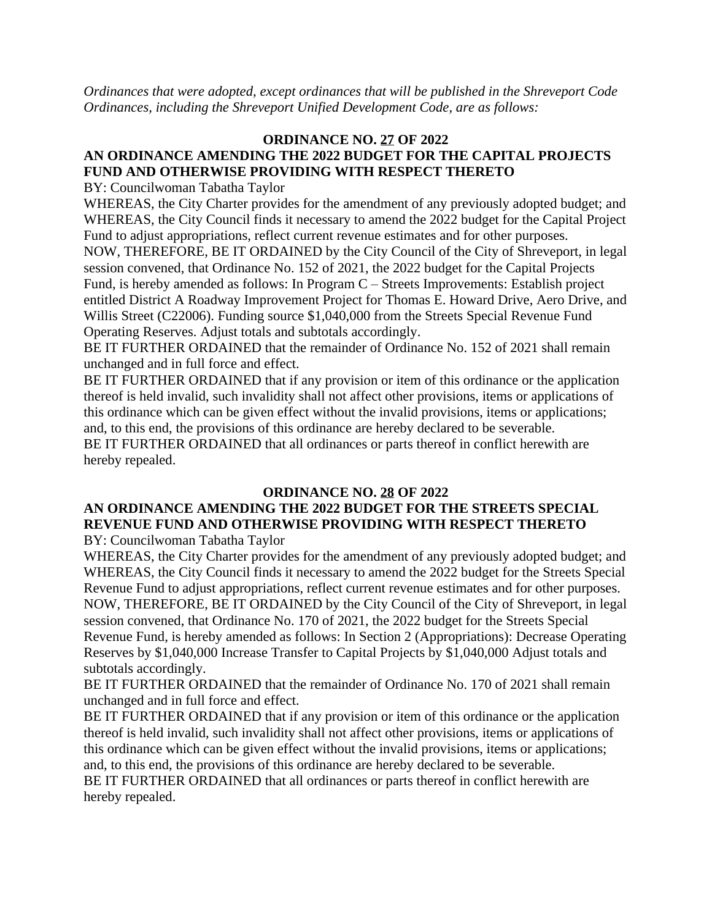*Ordinances that were adopted, except ordinances that will be published in the Shreveport Code Ordinances, including the Shreveport Unified Development Code, are as follows:*

### **ORDINANCE NO. 27 OF 2022 AN ORDINANCE AMENDING THE 2022 BUDGET FOR THE CAPITAL PROJECTS FUND AND OTHERWISE PROVIDING WITH RESPECT THERETO**

BY: Councilwoman Tabatha Taylor

WHEREAS, the City Charter provides for the amendment of any previously adopted budget; and WHEREAS, the City Council finds it necessary to amend the 2022 budget for the Capital Project Fund to adjust appropriations, reflect current revenue estimates and for other purposes.

NOW, THEREFORE, BE IT ORDAINED by the City Council of the City of Shreveport, in legal session convened, that Ordinance No. 152 of 2021, the 2022 budget for the Capital Projects Fund, is hereby amended as follows: In Program C – Streets Improvements: Establish project entitled District A Roadway Improvement Project for Thomas E. Howard Drive, Aero Drive, and Willis Street (C22006). Funding source \$1,040,000 from the Streets Special Revenue Fund Operating Reserves. Adjust totals and subtotals accordingly.

BE IT FURTHER ORDAINED that the remainder of Ordinance No. 152 of 2021 shall remain unchanged and in full force and effect.

BE IT FURTHER ORDAINED that if any provision or item of this ordinance or the application thereof is held invalid, such invalidity shall not affect other provisions, items or applications of this ordinance which can be given effect without the invalid provisions, items or applications; and, to this end, the provisions of this ordinance are hereby declared to be severable. BE IT FURTHER ORDAINED that all ordinances or parts thereof in conflict herewith are hereby repealed.

### **ORDINANCE NO. 28 OF 2022**

### **AN ORDINANCE AMENDING THE 2022 BUDGET FOR THE STREETS SPECIAL REVENUE FUND AND OTHERWISE PROVIDING WITH RESPECT THERETO** BY: Councilwoman Tabatha Taylor

WHEREAS, the City Charter provides for the amendment of any previously adopted budget; and WHEREAS, the City Council finds it necessary to amend the 2022 budget for the Streets Special Revenue Fund to adjust appropriations, reflect current revenue estimates and for other purposes. NOW, THEREFORE, BE IT ORDAINED by the City Council of the City of Shreveport, in legal session convened, that Ordinance No. 170 of 2021, the 2022 budget for the Streets Special Revenue Fund, is hereby amended as follows: In Section 2 (Appropriations): Decrease Operating Reserves by \$1,040,000 Increase Transfer to Capital Projects by \$1,040,000 Adjust totals and subtotals accordingly.

BE IT FURTHER ORDAINED that the remainder of Ordinance No. 170 of 2021 shall remain unchanged and in full force and effect.

BE IT FURTHER ORDAINED that if any provision or item of this ordinance or the application thereof is held invalid, such invalidity shall not affect other provisions, items or applications of this ordinance which can be given effect without the invalid provisions, items or applications; and, to this end, the provisions of this ordinance are hereby declared to be severable. BE IT FURTHER ORDAINED that all ordinances or parts thereof in conflict herewith are hereby repealed.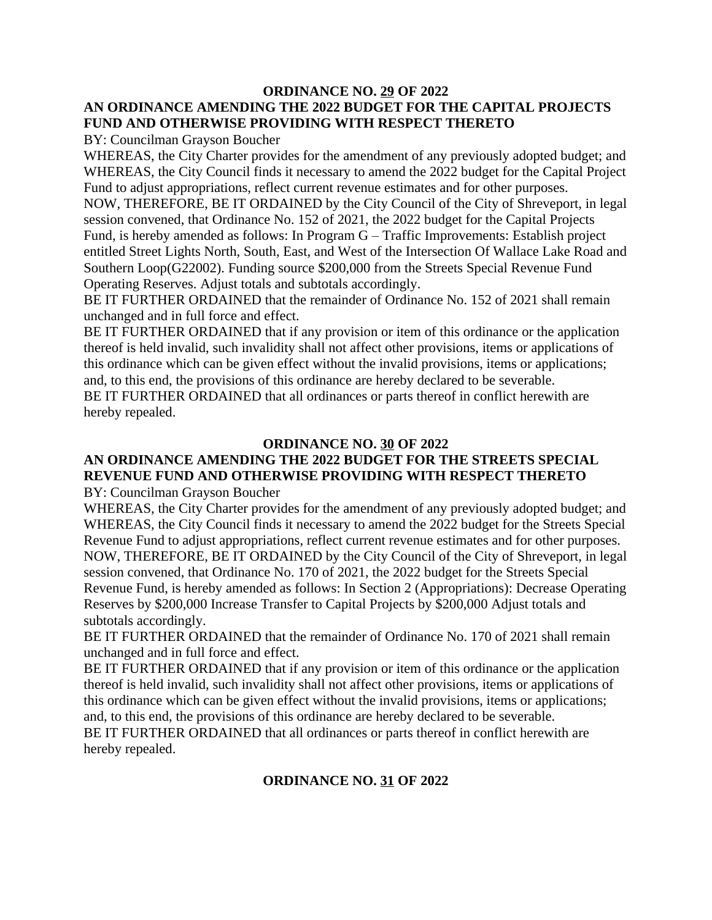### **ORDINANCE NO. 29 OF 2022 AN ORDINANCE AMENDING THE 2022 BUDGET FOR THE CAPITAL PROJECTS FUND AND OTHERWISE PROVIDING WITH RESPECT THERETO**

BY: Councilman Grayson Boucher

WHEREAS, the City Charter provides for the amendment of any previously adopted budget; and WHEREAS, the City Council finds it necessary to amend the 2022 budget for the Capital Project Fund to adjust appropriations, reflect current revenue estimates and for other purposes.

NOW, THEREFORE, BE IT ORDAINED by the City Council of the City of Shreveport, in legal session convened, that Ordinance No. 152 of 2021, the 2022 budget for the Capital Projects Fund, is hereby amended as follows: In Program G – Traffic Improvements: Establish project entitled Street Lights North, South, East, and West of the Intersection Of Wallace Lake Road and Southern Loop(G22002). Funding source \$200,000 from the Streets Special Revenue Fund Operating Reserves. Adjust totals and subtotals accordingly.

BE IT FURTHER ORDAINED that the remainder of Ordinance No. 152 of 2021 shall remain unchanged and in full force and effect.

BE IT FURTHER ORDAINED that if any provision or item of this ordinance or the application thereof is held invalid, such invalidity shall not affect other provisions, items or applications of this ordinance which can be given effect without the invalid provisions, items or applications; and, to this end, the provisions of this ordinance are hereby declared to be severable.

BE IT FURTHER ORDAINED that all ordinances or parts thereof in conflict herewith are hereby repealed.

### **ORDINANCE NO. 30 OF 2022**

### **AN ORDINANCE AMENDING THE 2022 BUDGET FOR THE STREETS SPECIAL REVENUE FUND AND OTHERWISE PROVIDING WITH RESPECT THERETO** BY: Councilman Grayson Boucher

WHEREAS, the City Charter provides for the amendment of any previously adopted budget; and WHEREAS, the City Council finds it necessary to amend the 2022 budget for the Streets Special Revenue Fund to adjust appropriations, reflect current revenue estimates and for other purposes. NOW, THEREFORE, BE IT ORDAINED by the City Council of the City of Shreveport, in legal session convened, that Ordinance No. 170 of 2021, the 2022 budget for the Streets Special Revenue Fund, is hereby amended as follows: In Section 2 (Appropriations): Decrease Operating Reserves by \$200,000 Increase Transfer to Capital Projects by \$200,000 Adjust totals and subtotals accordingly.

BE IT FURTHER ORDAINED that the remainder of Ordinance No. 170 of 2021 shall remain unchanged and in full force and effect.

BE IT FURTHER ORDAINED that if any provision or item of this ordinance or the application thereof is held invalid, such invalidity shall not affect other provisions, items or applications of this ordinance which can be given effect without the invalid provisions, items or applications; and, to this end, the provisions of this ordinance are hereby declared to be severable. BE IT FURTHER ORDAINED that all ordinances or parts thereof in conflict herewith are hereby repealed.

### **ORDINANCE NO. 31 OF 2022**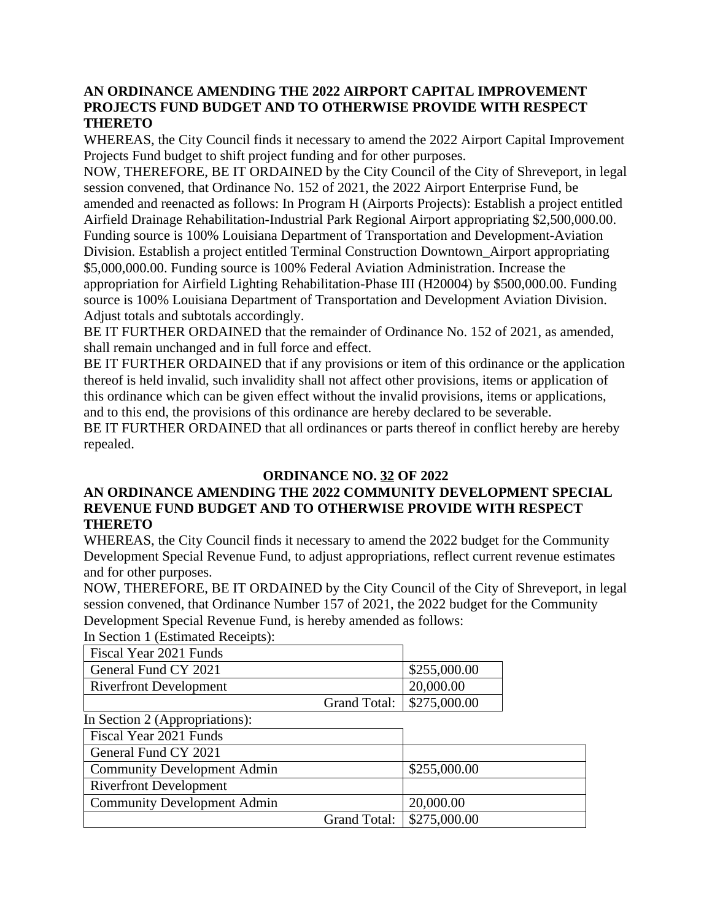### **AN ORDINANCE AMENDING THE 2022 AIRPORT CAPITAL IMPROVEMENT PROJECTS FUND BUDGET AND TO OTHERWISE PROVIDE WITH RESPECT THERETO**

WHEREAS, the City Council finds it necessary to amend the 2022 Airport Capital Improvement Projects Fund budget to shift project funding and for other purposes.

NOW, THEREFORE, BE IT ORDAINED by the City Council of the City of Shreveport, in legal session convened, that Ordinance No. 152 of 2021, the 2022 Airport Enterprise Fund, be amended and reenacted as follows: In Program H (Airports Projects): Establish a project entitled Airfield Drainage Rehabilitation-Industrial Park Regional Airport appropriating \$2,500,000.00. Funding source is 100% Louisiana Department of Transportation and Development-Aviation Division. Establish a project entitled Terminal Construction Downtown\_Airport appropriating

\$5,000,000.00. Funding source is 100% Federal Aviation Administration. Increase the appropriation for Airfield Lighting Rehabilitation-Phase III (H20004) by \$500,000.00. Funding source is 100% Louisiana Department of Transportation and Development Aviation Division. Adjust totals and subtotals accordingly.

BE IT FURTHER ORDAINED that the remainder of Ordinance No. 152 of 2021, as amended, shall remain unchanged and in full force and effect.

BE IT FURTHER ORDAINED that if any provisions or item of this ordinance or the application thereof is held invalid, such invalidity shall not affect other provisions, items or application of this ordinance which can be given effect without the invalid provisions, items or applications, and to this end, the provisions of this ordinance are hereby declared to be severable. BE IT FURTHER ORDAINED that all ordinances or parts thereof in conflict hereby are hereby repealed.

### **ORDINANCE NO. 32 OF 2022**

### **AN ORDINANCE AMENDING THE 2022 COMMUNITY DEVELOPMENT SPECIAL REVENUE FUND BUDGET AND TO OTHERWISE PROVIDE WITH RESPECT THERETO**

WHEREAS, the City Council finds it necessary to amend the 2022 budget for the Community Development Special Revenue Fund, to adjust appropriations, reflect current revenue estimates and for other purposes.

NOW, THEREFORE, BE IT ORDAINED by the City Council of the City of Shreveport, in legal session convened, that Ordinance Number 157 of 2021, the 2022 budget for the Community Development Special Revenue Fund, is hereby amended as follows:

In Section 1 (Estimated Receipts):

| Fiscal Year 2021 Funds        |                             |              |
|-------------------------------|-----------------------------|--------------|
| General Fund CY 2021          |                             | \$255,000.00 |
| <b>Riverfront Development</b> | 20,000.00                   |              |
|                               | Grand Total:   \$275,000.00 |              |

|  |  |  |  | In Section 2 (Appropriations): |  |
|--|--|--|--|--------------------------------|--|
|--|--|--|--|--------------------------------|--|

| $\frac{1}{2}$                      |                             |
|------------------------------------|-----------------------------|
| Fiscal Year 2021 Funds             |                             |
| General Fund CY 2021               |                             |
| <b>Community Development Admin</b> | \$255,000.00                |
| <b>Riverfront Development</b>      |                             |
| <b>Community Development Admin</b> | 20,000.00                   |
|                                    | Grand Total:   \$275,000.00 |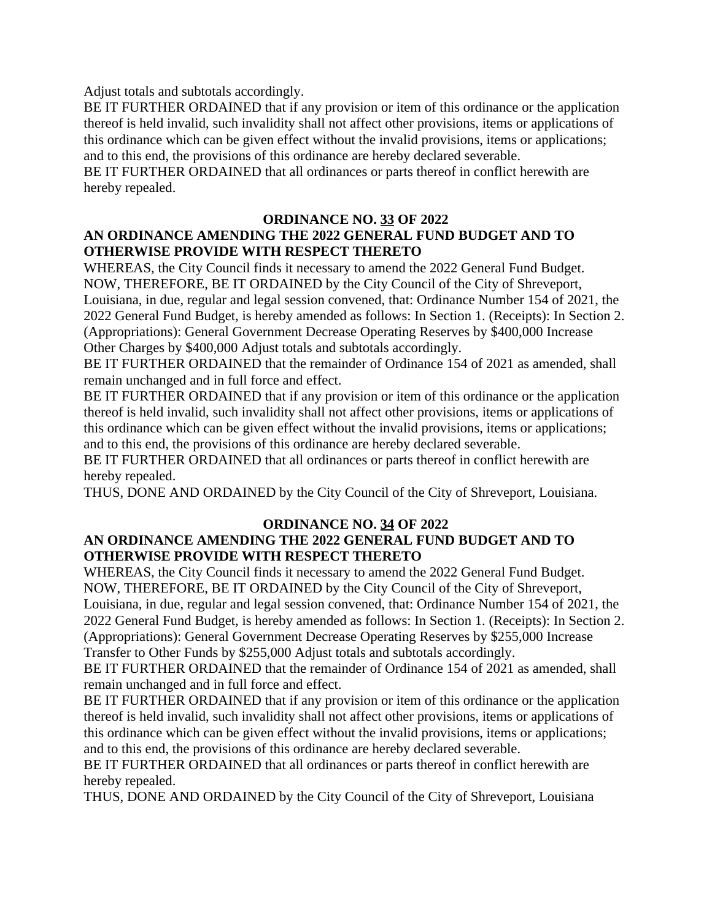Adjust totals and subtotals accordingly.

BE IT FURTHER ORDAINED that if any provision or item of this ordinance or the application thereof is held invalid, such invalidity shall not affect other provisions, items or applications of this ordinance which can be given effect without the invalid provisions, items or applications; and to this end, the provisions of this ordinance are hereby declared severable.

BE IT FURTHER ORDAINED that all ordinances or parts thereof in conflict herewith are hereby repealed.

### **ORDINANCE NO. 33 OF 2022 AN ORDINANCE AMENDING THE 2022 GENERAL FUND BUDGET AND TO OTHERWISE PROVIDE WITH RESPECT THERETO**

WHEREAS, the City Council finds it necessary to amend the 2022 General Fund Budget. NOW, THEREFORE, BE IT ORDAINED by the City Council of the City of Shreveport, Louisiana, in due, regular and legal session convened, that: Ordinance Number 154 of 2021, the 2022 General Fund Budget, is hereby amended as follows: In Section 1. (Receipts): In Section 2. (Appropriations): General Government Decrease Operating Reserves by \$400,000 Increase Other Charges by \$400,000 Adjust totals and subtotals accordingly.

BE IT FURTHER ORDAINED that the remainder of Ordinance 154 of 2021 as amended, shall remain unchanged and in full force and effect.

BE IT FURTHER ORDAINED that if any provision or item of this ordinance or the application thereof is held invalid, such invalidity shall not affect other provisions, items or applications of this ordinance which can be given effect without the invalid provisions, items or applications; and to this end, the provisions of this ordinance are hereby declared severable.

BE IT FURTHER ORDAINED that all ordinances or parts thereof in conflict herewith are hereby repealed.

THUS, DONE AND ORDAINED by the City Council of the City of Shreveport, Louisiana.

#### **ORDINANCE NO. 34 OF 2022 AN ORDINANCE AMENDING THE 2022 GENERAL FUND BUDGET AND TO OTHERWISE PROVIDE WITH RESPECT THERETO**

WHEREAS, the City Council finds it necessary to amend the 2022 General Fund Budget. NOW, THEREFORE, BE IT ORDAINED by the City Council of the City of Shreveport, Louisiana, in due, regular and legal session convened, that: Ordinance Number 154 of 2021, the 2022 General Fund Budget, is hereby amended as follows: In Section 1. (Receipts): In Section 2. (Appropriations): General Government Decrease Operating Reserves by \$255,000 Increase Transfer to Other Funds by \$255,000 Adjust totals and subtotals accordingly.

BE IT FURTHER ORDAINED that the remainder of Ordinance 154 of 2021 as amended, shall remain unchanged and in full force and effect.

BE IT FURTHER ORDAINED that if any provision or item of this ordinance or the application thereof is held invalid, such invalidity shall not affect other provisions, items or applications of this ordinance which can be given effect without the invalid provisions, items or applications; and to this end, the provisions of this ordinance are hereby declared severable.

BE IT FURTHER ORDAINED that all ordinances or parts thereof in conflict herewith are hereby repealed.

THUS, DONE AND ORDAINED by the City Council of the City of Shreveport, Louisiana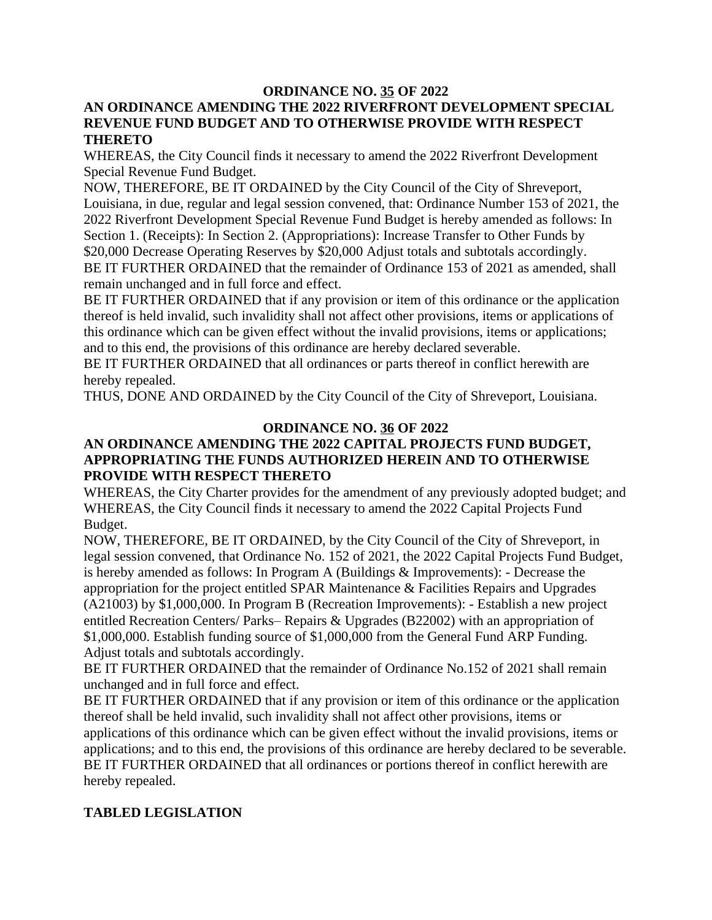### **ORDINANCE NO. 35 OF 2022**

### **AN ORDINANCE AMENDING THE 2022 RIVERFRONT DEVELOPMENT SPECIAL REVENUE FUND BUDGET AND TO OTHERWISE PROVIDE WITH RESPECT THERETO**

WHEREAS, the City Council finds it necessary to amend the 2022 Riverfront Development Special Revenue Fund Budget.

NOW, THEREFORE, BE IT ORDAINED by the City Council of the City of Shreveport, Louisiana, in due, regular and legal session convened, that: Ordinance Number 153 of 2021, the 2022 Riverfront Development Special Revenue Fund Budget is hereby amended as follows: In Section 1. (Receipts): In Section 2. (Appropriations): Increase Transfer to Other Funds by \$20,000 Decrease Operating Reserves by \$20,000 Adjust totals and subtotals accordingly. BE IT FURTHER ORDAINED that the remainder of Ordinance 153 of 2021 as amended, shall remain unchanged and in full force and effect.

BE IT FURTHER ORDAINED that if any provision or item of this ordinance or the application thereof is held invalid, such invalidity shall not affect other provisions, items or applications of this ordinance which can be given effect without the invalid provisions, items or applications; and to this end, the provisions of this ordinance are hereby declared severable.

BE IT FURTHER ORDAINED that all ordinances or parts thereof in conflict herewith are hereby repealed.

THUS, DONE AND ORDAINED by the City Council of the City of Shreveport, Louisiana.

### **ORDINANCE NO. 36 OF 2022**

### **AN ORDINANCE AMENDING THE 2022 CAPITAL PROJECTS FUND BUDGET, APPROPRIATING THE FUNDS AUTHORIZED HEREIN AND TO OTHERWISE PROVIDE WITH RESPECT THERETO**

WHEREAS, the City Charter provides for the amendment of any previously adopted budget; and WHEREAS, the City Council finds it necessary to amend the 2022 Capital Projects Fund Budget.

NOW, THEREFORE, BE IT ORDAINED, by the City Council of the City of Shreveport, in legal session convened, that Ordinance No. 152 of 2021, the 2022 Capital Projects Fund Budget, is hereby amended as follows: In Program A (Buildings & Improvements): - Decrease the appropriation for the project entitled SPAR Maintenance & Facilities Repairs and Upgrades (A21003) by \$1,000,000. In Program B (Recreation Improvements): - Establish a new project entitled Recreation Centers/ Parks– Repairs & Upgrades (B22002) with an appropriation of \$1,000,000. Establish funding source of \$1,000,000 from the General Fund ARP Funding. Adjust totals and subtotals accordingly.

BE IT FURTHER ORDAINED that the remainder of Ordinance No.152 of 2021 shall remain unchanged and in full force and effect.

BE IT FURTHER ORDAINED that if any provision or item of this ordinance or the application thereof shall be held invalid, such invalidity shall not affect other provisions, items or applications of this ordinance which can be given effect without the invalid provisions, items or applications; and to this end, the provisions of this ordinance are hereby declared to be severable. BE IT FURTHER ORDAINED that all ordinances or portions thereof in conflict herewith are hereby repealed.

### **TABLED LEGISLATION**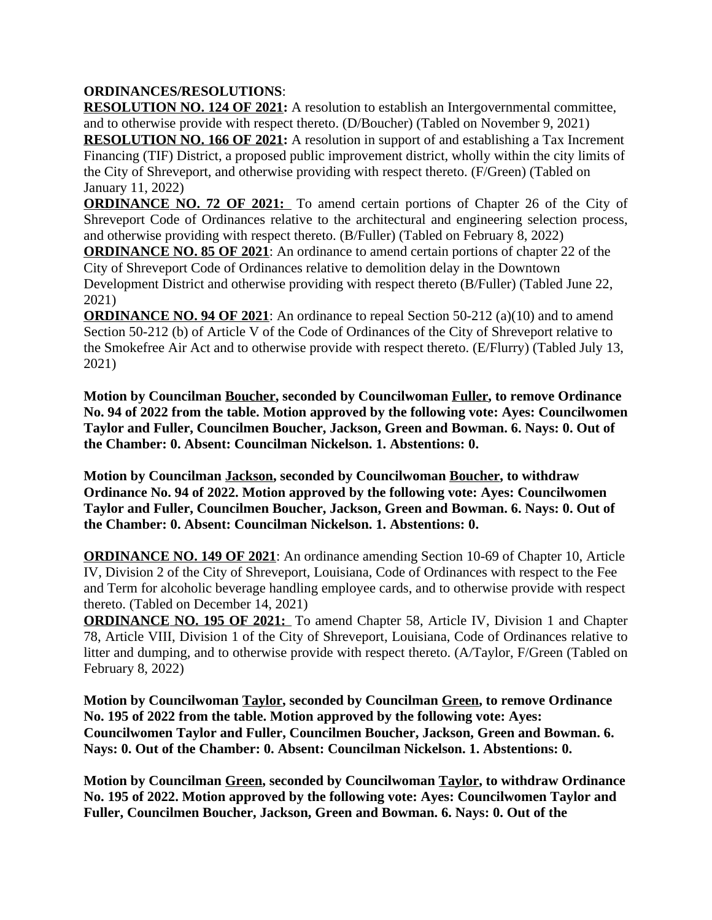### **ORDINANCES/RESOLUTIONS**:

**RESOLUTION NO. 124 OF 2021:** A resolution to establish an Intergovernmental committee, and to otherwise provide with respect thereto. (D/Boucher) (Tabled on November 9, 2021) **RESOLUTION NO. 166 OF 2021:** A resolution in support of and establishing a Tax Increment Financing (TIF) District, a proposed public improvement district, wholly within the city limits of the City of Shreveport, and otherwise providing with respect thereto. (F/Green) (Tabled on January 11, 2022)

**ORDINANCE NO. 72 OF 2021:** To amend certain portions of Chapter 26 of the City of Shreveport Code of Ordinances relative to the architectural and engineering selection process, and otherwise providing with respect thereto. (B/Fuller) (Tabled on February 8, 2022)

**ORDINANCE NO. 85 OF 2021:** An ordinance to amend certain portions of chapter 22 of the City of Shreveport Code of Ordinances relative to demolition delay in the Downtown Development District and otherwise providing with respect thereto (B/Fuller) (Tabled June 22, 2021)

**ORDINANCE NO. 94 OF 2021**: An ordinance to repeal Section 50-212 (a)(10) and to amend Section 50-212 (b) of Article V of the Code of Ordinances of the City of Shreveport relative to the Smokefree Air Act and to otherwise provide with respect thereto. (E/Flurry) (Tabled July 13, 2021)

**Motion by Councilman Boucher, seconded by Councilwoman Fuller, to remove Ordinance No. 94 of 2022 from the table. Motion approved by the following vote: Ayes: Councilwomen Taylor and Fuller, Councilmen Boucher, Jackson, Green and Bowman. 6. Nays: 0. Out of the Chamber: 0. Absent: Councilman Nickelson. 1. Abstentions: 0.**

**Motion by Councilman Jackson, seconded by Councilwoman Boucher, to withdraw Ordinance No. 94 of 2022. Motion approved by the following vote: Ayes: Councilwomen Taylor and Fuller, Councilmen Boucher, Jackson, Green and Bowman. 6. Nays: 0. Out of the Chamber: 0. Absent: Councilman Nickelson. 1. Abstentions: 0.**

**ORDINANCE NO. 149 OF 2021**: An ordinance amending Section 10-69 of Chapter 10, Article IV, Division 2 of the City of Shreveport, Louisiana, Code of Ordinances with respect to the Fee and Term for alcoholic beverage handling employee cards, and to otherwise provide with respect thereto. (Tabled on December 14, 2021)

**ORDINANCE NO. 195 OF 2021:** To amend Chapter 58, Article IV, Division 1 and Chapter 78, Article VIII, Division 1 of the City of Shreveport, Louisiana, Code of Ordinances relative to litter and dumping, and to otherwise provide with respect thereto. (A/Taylor, F/Green (Tabled on February 8, 2022)

**Motion by Councilwoman Taylor, seconded by Councilman Green, to remove Ordinance No. 195 of 2022 from the table. Motion approved by the following vote: Ayes: Councilwomen Taylor and Fuller, Councilmen Boucher, Jackson, Green and Bowman. 6. Nays: 0. Out of the Chamber: 0. Absent: Councilman Nickelson. 1. Abstentions: 0.**

**Motion by Councilman Green, seconded by Councilwoman Taylor, to withdraw Ordinance No. 195 of 2022. Motion approved by the following vote: Ayes: Councilwomen Taylor and Fuller, Councilmen Boucher, Jackson, Green and Bowman. 6. Nays: 0. Out of the**